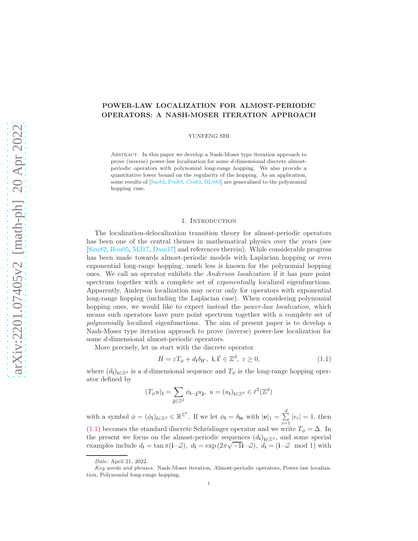# POWER-LAW LOCALIZATION FOR ALMOST-PERIODIC OPERATORS: A NASH-MOSER ITERATION APPROACH

YUNFENG SHI

Abstract. In this paper we develop a Nash-Moser type iteration approach to prove (inverse) power-law localization for some d-dimensional discrete almostperiodic operators with polynomial long-range hopping. We also provide a quantitative lower bound on the regularity of the hopping. As an application, some results of [\[Sar82,](#page-37-0) Pös83, [Cra83,](#page-36-0) [BLS83\]](#page-36-1) are generalized to the polynomial hopping case.

### 1. Introduction

The localization-delocalization transition theory for almost-periodic operators has been one of the central themes in mathematical physics over the years (see [\[Sim82,](#page-37-2) [Bou05,](#page-36-2) [MJ17,](#page-37-3) [Dam17\]](#page-36-3) and references therein). While considerable progress has been made towards almost-periodic models with Laplacian hopping or even exponential long-range hopping, much less is known for the polynomial hopping ones. We call an operator exhibits the *Anderson localization* if it has pure point spectrum together with a complete set of *exponentially* localized eigenfunctions. Apparently, Anderson localization may occur only for operators with exponential long-range hopping (including the Laplacian case). When considering polynomial hopping ones, we would like to expect instead the *power-law localization*, which means such operators have pure point spectrum together with a complete set of *polynomially* localized eigenfunctions. The aim of present paper is to develop a Nash-Moser type iteration approach to prove (inverse) power-law localization for some d-dimensional almost-periodic operators.

More precisely, let us start with the discrete operator

<span id="page-0-0"></span>
$$
H = \varepsilon T_{\phi} + d_{\mathbf{i}} \delta_{\mathbf{i}\mathbf{i}'}, \ \mathbf{i}, \mathbf{i}' \in \mathbb{Z}^{d}, \ \varepsilon \ge 0,
$$
\n(1.1)

where  $(d_i)_{i\in\mathbb{Z}^d}$  is a d-dimensional sequence and  $T_\phi$  is the long-range hopping operator defined by

$$
(T_{\phi}u)_\mathbf{i} = \sum_{\mathbf{j} \in \mathbb{Z}^d} \phi_{\mathbf{i}-\mathbf{j}} u_\mathbf{j}, \ u = (u_\mathbf{i})_{\mathbf{i} \in \mathbb{Z}^d} \in \ell^2(\mathbb{Z}^d)
$$

with a symbol  $\phi = (\phi_i)_{i \in \mathbb{Z}^d} \in \mathbb{R}^{\mathbb{Z}^d}$ . If we let  $\phi_i = \delta_{i\mathbf{e}}$  with  $|\mathbf{e}|_1 = \sum_{i=1}^d$  $\sum_{i=1}^{\infty} |e_i| = 1$ , then [\(1.1\)](#page-0-0) becomes the standard discrete Schrödinger operator and we write  $T_{\phi} = \Delta$ . In the present we focus on the almost-periodic sequences  $(d_i)_{i\in\mathbb{Z}^d}$ , and some special examples include  $d_{\mathbf{i}} = \tan \pi (\mathbf{i} \cdot \vec{\omega})$ ,  $d_{\mathbf{i}} = \exp (2\pi \sqrt{-1} \mathbf{i} \cdot \vec{\omega})$ ,  $d_{\mathbf{i}} = (\mathbf{i} \cdot \vec{\omega} \mod 1)$  with

Date: April 21, 2022.

Key words and phrases. Nash-Moser iteration, Almost-periodic operators, Power-law localization, Polynomial long-range hopping.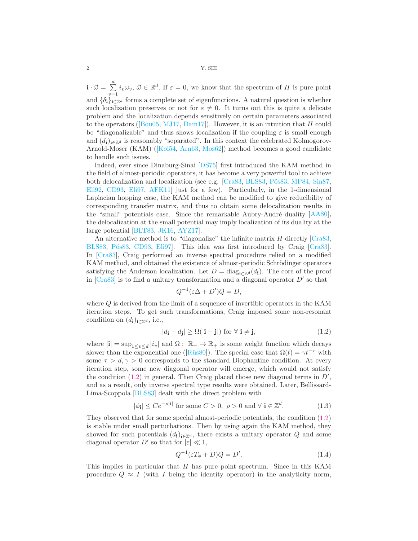$\mathbf{i} \cdot \vec{\omega} = \sum_{i=1}^d$  $\sum_{v=1}^{n} i_v \omega_v, \, \vec{\omega} \in \mathbb{R}^d$ . If  $\varepsilon = 0$ , we know that the spectrum of H is pure point and  $\{\delta_i\}_{i\in\mathbb{Z}^d}$  forms a complete set of eigenfunctions. A naturel question is whether such localization preserves or not for  $\varepsilon \neq 0$ . It turns out this is quite a delicate problem and the localization depends sensitively on certain parameters associated to the operators ( $[Bu05, MJ17, Dam17]$  $[Bu05, MJ17, Dam17]$  $[Bu05, MJ17, Dam17]$  $[Bu05, MJ17, Dam17]$ ). However, it is an intuition that H could be "diagonalizable" and thus shows localization if the coupling  $\varepsilon$  is small enough and  $(d_i)_{i\in\mathbb{Z}^d}$  is reasonably "separated". In this context the celebrated Kolmogorov-Arnold-Moser (KAM) ([\[Kol54,](#page-37-4) [Arn63,](#page-36-4) [Mos62\]](#page-37-5)) method becomes a good candidate to handle such issues.

Indeed, ever since Dinaburg-Sinai [\[DS75\]](#page-36-5) first introduced the KAM method in the field of almost-periodic operators, it has become a very powerful tool to achieve both delocalization and localization (see e.g.  $[Cra83, BLS83, P\ddot{o}s83, MP84, Sin87,$  $[Cra83, BLS83, P\ddot{o}s83, MP84, Sin87,$  $[Cra83, BLS83, P\ddot{o}s83, MP84, Sin87,$  $[Cra83, BLS83, P\ddot{o}s83, MP84, Sin87,$  $[Cra83, BLS83, P\ddot{o}s83, MP84, Sin87,$  $[Cra83, BLS83, P\ddot{o}s83, MP84, Sin87,$ [Eli92,](#page-36-6) [CD93,](#page-36-7) [Eli97,](#page-36-8) [AFK11\]](#page-36-9) just for a few). Particularly, in the 1-dimensional Laplacian hopping case, the KAM method can be modified to give reducibility of corresponding transfer matrix, and thus to obtain some delocalization results in the "small" potentials case. Since the remarkable Aubry-Audré duality  $[AA80]$ , the delocalization at the small potential may imply localization of its duality at the large potential [\[BLT83,](#page-36-11) [JK16,](#page-36-12) [AYZ17\]](#page-36-13).

An alternative method is to "diagonalize" the infinite matrix  $H$  directly [\[Cra83,](#page-36-0) [BLS83,](#page-36-1) Pös83, [CD93,](#page-36-7) Eli97. This idea was first introduced by Craig [\[Cra83\]](#page-36-0). In [\[Cra83\]](#page-36-0), Craig performed an inverse spectral procedure relied on a modified KAM method, and obtained the existence of almost-periodic Schrödinger operators satisfying the Anderson localization. Let  $D = \text{diag}_{i \in \mathbb{Z}^d}(d_i)$ . The core of the proof in  $[Cra83]$  is to find a unitary transformation and a diagonal operator  $D'$  so that

<span id="page-1-0"></span>
$$
Q^{-1}(\varepsilon \Delta + D')Q = D,
$$

where Q is derived from the limit of a sequence of invertible operators in the KAM iteration steps. To get such transformations, Craig imposed some non-resonant condition on  $(d_i)_{i\in\mathbb{Z}^d}$ , i.e.,

$$
|d_{\mathbf{i}} - d_{\mathbf{j}}| \ge \Omega(|\mathbf{i} - \mathbf{j}|) \text{ for } \forall \mathbf{i} \ne \mathbf{j},\tag{1.2}
$$

where  $|\mathbf{i}| = \sup_{1 \le v \le d} |i_v|$  and  $\Omega: \ \mathbb{R}_+ \to \mathbb{R}_+$  is some weight function which decays slower than the exponential one ([Rüs80]). The special case that  $\Omega(t) = \gamma t^{-\tau}$  with some  $\tau > d$ ,  $\gamma > 0$  corresponds to the standard Diophantine condition. At every iteration step, some new diagonal operator will emerge, which would not satisfy the condition  $(1.2)$  in general. Then Craig placed those new diagonal terms in  $D'$ , and as a result, only inverse spectral type results were obtained. Later, Bellissard-Lima-Scoppola [\[BLS83\]](#page-36-1) dealt with the direct problem with

$$
|\phi_{\mathbf{i}}| \le Ce^{-\rho|\mathbf{i}|} \text{ for some } C > 0, \ \rho > 0 \text{ and } \forall \ \mathbf{i} \in \mathbb{Z}^d. \tag{1.3}
$$

They observed that for some special almost-periodic potentials, the condition [\(1.2\)](#page-1-0) is stable under small perturbations. Then by using again the KAM method, they showed for such potentials  $(d_i)_{i\in\mathbb{Z}^d}$ , there exists a unitary operator Q and some diagonal operator  $D'$  so that for  $|\varepsilon| \ll 1$ ,

<span id="page-1-2"></span><span id="page-1-1"></span>
$$
Q^{-1}(\varepsilon T_{\phi} + D)Q = D'.\tag{1.4}
$$

This implies in particular that H has pure point spectrum. Since in this KAM procedure  $Q \approx I$  (with I being the identity operator) in the analyticity norm,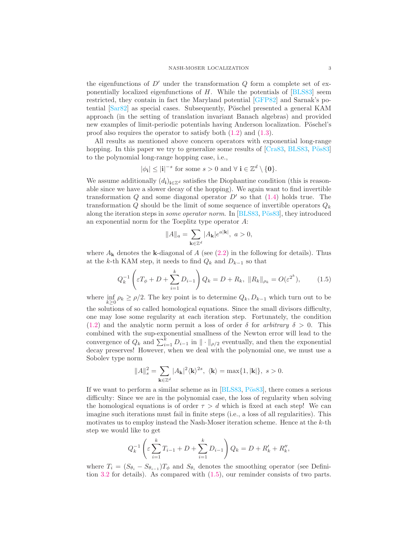the eigenfunctions of  $D'$  under the transformation  $Q$  form a complete set of exponentially localized eigenfunctions of H. While the potentials of [\[BLS83\]](#page-36-1) seem restricted, they contain in fact the Maryland potential [\[GFP82\]](#page-36-14) and Sarnak's potential  $\left[\text{Sar82}\right]$  as special cases. Subsequently, Pöschel presented a general KAM approach (in the setting of translation invariant Banach algebras) and provided new examples of limit-periodic potentials having Anderson localization. Pöschel's proof also requires the operator to satisfy both [\(1.2\)](#page-1-0) and [\(1.3\)](#page-1-1).

All results as mentioned above concern operators with exponential long-range hopping. In this paper we try to generalize some results of  $[Cra83, BLS83, P\ddot{o}s83]$  $[Cra83, BLS83, P\ddot{o}s83]$  $[Cra83, BLS83, P\ddot{o}s83]$ to the polynomial long-range hopping case, i.e.,

$$
|\phi_{\mathbf{i}}| \leq |\mathbf{i}|^{-s}
$$
 for some  $s > 0$  and  $\forall \mathbf{i} \in \mathbb{Z}^d \setminus \{\mathbf{0}\}.$ 

We assume additionally  $(d_i)_{i\in\mathbb{Z}^d}$  satisfies the Diophantine condition (this is reasonable since we have a slower decay of the hopping). We again want to find invertible transformation  $Q$  and some diagonal operator  $D'$  so that  $(1.4)$  holds true. The transformation Q should be the limit of some sequence of invertible operators  $Q_k$ along the iteration steps in *some operator norm*. In [\[BLS83,](#page-36-1) Pös83], they introduced an exponential norm for the Toeplitz type operator A:

<span id="page-2-0"></span>
$$
||A||_a = \sum_{\mathbf{k}\in\mathbb{Z}^d} |A_{\mathbf{k}}|e^{a|\mathbf{k}|}, \ a > 0,
$$

where  $A_{\bf k}$  denotes the **k**-diagonal of A (see [\(2.2\)](#page-4-0) in the following for details). Thus at the k-th KAM step, it needs to find  $Q_k$  and  $D_{k-1}$  so that

$$
Q_k^{-1} \left( \varepsilon T_\phi + D + \sum_{i=1}^k D_{i-1} \right) Q_k = D + R_k, \ \|R_k\|_{\rho_k} = O(\varepsilon^{2^k}), \tag{1.5}
$$

where  $\inf_{k\geq 0} \rho_k \geq \rho/2$ . The key point is to determine  $Q_k, D_{k-1}$  which turn out to be the solutions of so called homological equations. Since the small divisors difficulty, one may lose some regularity at each iteration step. Fortunately, the condition [\(1.2\)](#page-1-0) and the analytic norm permit a loss of order  $\delta$  for *arbitrary*  $\delta > 0$ . This combined with the sup-exponential smallness of the Newton error will lead to the convergence of  $Q_k$  and  $\sum_{i=1}^k D_{i-1}$  in  $\|\cdot\|_{\rho/2}$  eventually, and then the exponential decay preserves! However, when we deal with the polynomial one, we must use a Sobolev type norm

$$
||A||_s^2 = \sum_{\mathbf{k}\in\mathbb{Z}^d} |A_{\mathbf{k}}|^2 \langle \mathbf{k} \rangle^{2s}, \ \langle \mathbf{k} \rangle = \max\{1, |\mathbf{k}|\}, \ s > 0.
$$

If we want to perform a similar scheme as in  $[BLS83, P\ddot{o}s83]$ , there comes a serious difficulty: Since we are in the polynomial case, the loss of regularity when solving the homological equations is of order  $\tau > d$  which is fixed at each step! We can imagine such iterations must fail in finite steps (i.e., a loss of all regularities). This motivates us to employ instead the Nash-Moser iteration scheme. Hence at the  $k$ -th step we would like to get

$$
Q_k^{-1}\left(\varepsilon \sum_{i=1}^k T_{i-1} + D + \sum_{i=1}^k D_{i-1}\right) Q_k = D + R'_k + R''_k,
$$

where  $T_i = (S_{\theta_i} - S_{\theta_{i-1}})T_{\phi}$  and  $S_{\theta_i}$  denotes the smoothing operator (see Definition [3.2](#page-12-0) for details). As compared with [\(1.5\)](#page-2-0), our reminder consists of two parts.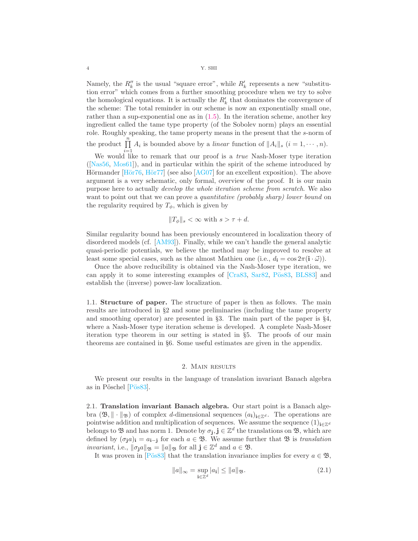Namely, the  $R''_k$  is the usual "square error", while  $R'_k$  represents a new "substitution error" which comes from a further smoothing procedure when we try to solve the homological equations. It is actually the  $R'_{k}$  that dominates the convergence of the scheme: The total reminder in our scheme is now an exponentially small one, rather than a sup-exponential one as in  $(1.5)$ . In the iteration scheme, another key ingredient called the tame type property (of the Sobolev norm) plays an essential role. Roughly speaking, the tame property means in the present that the s-norm of the product  $\prod_{n=1}^{\infty}$  $\prod_{i=1} A_i$  is bounded above by a *linear* function of  $||A_i||_s$   $(i = 1, \dots, n)$ .

We would like to remark that our proof is a *true* Nash-Moser type iteration ([\[Nas56,](#page-37-9) [Mos61\]](#page-37-10)), and in particular within the spirit of the scheme introduced by Hörmander [Hör76, Hör77] (see also [\[AG07\]](#page-36-17) for an excellent exposition). The above argument is a very schematic, only formal, overview of the proof. It is our main purpose here to actually *develop the whole iteration scheme from scratch*. We also want to point out that we can prove a *quantitative (probably sharp) lower bound* on the regularity required by  $T_{\phi}$ , which is given by

$$
||T_{\phi}||_{s} < \infty \text{ with } s > \tau + d.
$$

Similar regularity bound has been previously encountered in localization theory of disordered models (cf. [\[AM93\]](#page-36-18)). Finally, while we can't handle the general analytic quasi-periodic potentials, we believe the method may be improved to resolve at least some special cases, such as the almost Mathieu one (i.e.,  $d_{\mathbf{i}} = \cos 2\pi (\mathbf{i} \cdot \vec{\omega}))$ .

Once the above reducibility is obtained via the Nash-Moser type iteration, we can apply it to some interesting examples of [\[Cra83,](#page-36-0) [Sar82,](#page-37-0) Pös83, [BLS83\]](#page-36-1) and establish the (inverse) power-law localization.

1.1. Structure of paper. The structure of paper is then as follows. The main results are introduced in §2 and some preliminaries (including the tame property and smoothing operator) are presented in §3. The main part of the paper is §4, where a Nash-Moser type iteration scheme is developed. A complete Nash-Moser iteration type theorem in our setting is stated in §5. The proofs of our main theorems are contained in §6. Some useful estimates are given in the appendix.

## 2. Main results

We present our results in the language of translation invariant Banach algebra as in Pöschel  $[P\ddot{o}s83]$ .

2.1. Translation invariant Banach algebra. Our start point is a Banach algebra ( $\mathfrak{B}, \|\cdot\|_{\mathfrak{B}}$ ) of complex d-dimensional sequences  $(a_i)_{i\in\mathbb{Z}^d}$ . The operations are pointwise addition and multiplication of sequences. We assume the sequence  $(1)_{i\in\mathbb{Z}^d}$ belongs to  $\mathfrak{B}$  and has norm 1. Denote by  $\sigma_j, \mathbf{j} \in \mathbb{Z}^d$  the translations on  $\mathfrak{B}$ , which are defined by  $(\sigma_j a)_i = a_{i-j}$  for each  $a \in \mathfrak{B}$ . We assume further that  $\mathfrak{B}$  is *translation invariant*, i.e.,  $\|\sigma_j a\|_{\mathfrak{B}} = \|a\|_{\mathfrak{B}}$  for all  $\mathbf{j} \in \mathbb{Z}^d$  and  $a \in \mathfrak{B}$ .

It was proven in [Pös83] that the translation invariance implies for every  $a \in \mathfrak{B}$ ,

<span id="page-3-0"></span>
$$
||a||_{\infty} = \sup_{\mathbf{i} \in \mathbb{Z}^d} |a_{\mathbf{i}}| \le ||a||_{\mathfrak{B}}.
$$
 (2.1)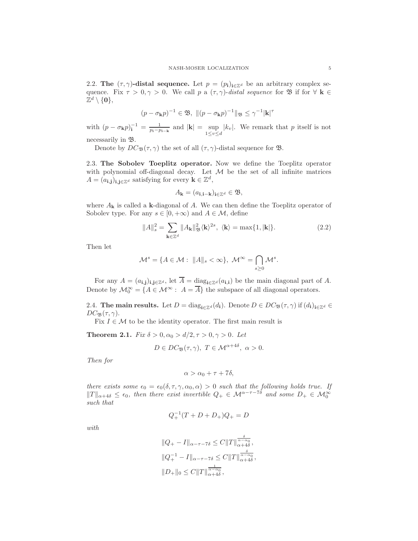2.2. The  $(\tau, \gamma)$ -distal sequence. Let  $p = (p_i)_{i \in \mathbb{Z}^d}$  be an arbitrary complex sequence. Fix  $\tau > 0, \gamma > 0$ . We call p a  $(\tau, \gamma)$ -distal sequence for **B** if for  $\forall$  **k**  $\in$  $\mathbb{Z}^d\setminus\{\mathbf{0}\},$ 

$$
(p-\sigma_{\mathbf{k}}p)^{-1}\in\mathfrak{B},\ \|(p-\sigma_{\mathbf{k}}p)^{-1}\|_{\mathfrak{B}}\leq\gamma^{-1}|\mathbf{k}|^{\tau}
$$

with  $(p - \sigma_k p)_i^{-1} = \frac{1}{p_i - p_{i-k}}$  and  $|\mathbf{k}| = \sup_{1 \le v \le d} |k_v|$ . We remark that p itself is not

necessarily in B.

Denote by  $DC_{\mathfrak{B}}(\tau, \gamma)$  the set of all  $(\tau, \gamma)$ -distal sequence for  $\mathfrak{B}$ .

2.3. The Sobolev Toeplitz operator. Now we define the Toeplitz operator with polynomial off-diagonal decay. Let  $M$  be the set of all infinite matrices  $A = (a_{\mathbf{i},\mathbf{j}})_{\mathbf{i},\mathbf{j}\in\mathbb{Z}^d}$  satisfying for every  $\mathbf{k} \in \mathbb{Z}^d$ ,

<span id="page-4-0"></span>
$$
A_{\mathbf{k}} = (a_{\mathbf{i}, \mathbf{i} - \mathbf{k}})_{\mathbf{i} \in \mathbb{Z}^d} \in \mathfrak{B},
$$

where  $A_{\bf k}$  is called a k-diagonal of A. We can then define the Toeplitz operator of Sobolev type. For any  $s \in [0, +\infty)$  and  $A \in \mathcal{M}$ , define

$$
||A||_s^2 = \sum_{\mathbf{k}\in\mathbb{Z}^d} ||A_{\mathbf{k}}||_{\mathfrak{B}}^2 \langle \mathbf{k}\rangle^{2s}, \ \langle \mathbf{k}\rangle = \max\{1, |\mathbf{k}|\}. \tag{2.2}
$$

Then let

$$
\mathcal{M}^s = \{ A \in \mathcal{M} : ||A||_s < \infty \}, \ \mathcal{M}^\infty = \bigcap_{s \geq 0} \mathcal{M}^s.
$$

For any  $A = (a_{i,j})_{i,j \in \mathbb{Z}^d}$ , let  $\overline{A} = \underline{\text{diag}}_{i \in \mathbb{Z}^d} (a_{i,i})$  be the main diagonal part of A. Denote by  $\mathcal{M}_0^{\infty} = \{A \in \mathcal{M}^{\infty} : A = \overline{A}\}\$ the subspace of all diagonal operators.

2.4. The main results. Let  $D = diag_{i \in \mathbb{Z}^d}(d_i)$ . Denote  $D \in DC_{\mathfrak{B}}(\tau, \gamma)$  if  $(d_i)_{i \in \mathbb{Z}^d} \in$  $DC_{\mathfrak{B}}(\tau, \gamma).$ 

Fix  $I \in \mathcal{M}$  to be the identity operator. The first main result is

<span id="page-4-1"></span>**Theorem 2.1.** *Fix*  $\delta > 0, \alpha_0 > d/2, \tau > 0, \gamma > 0$ *. Let* 

$$
D \in DC_{\mathfrak{B}}(\tau, \gamma), \ T \in \mathcal{M}^{\alpha+4\delta}, \ \alpha > 0.
$$

*Then for*

$$
\alpha > \alpha_0 + \tau + 7\delta,
$$

*there exists some*  $\epsilon_0 = \epsilon_0(\delta, \tau, \gamma, \alpha_0, \alpha) > 0$  *such that the following holds true. If*  $||T||_{\alpha+4\delta} \leq \epsilon_0$ , then there exist invertible  $Q_+ \in \mathcal{M}^{\alpha-\tau-7\delta}$  and some  $D_+ \in \mathcal{M}_0^{\infty}$ *such that*

$$
Q_+^{-1}(T+D+D_+)Q_+ = D \\
$$

*with*

$$
||Q_{+} - I||_{\alpha - \tau - 7\delta} \leq C||T||_{\alpha + 4\delta}^{\frac{\delta}{\alpha - \alpha_0}},
$$
  

$$
||Q_{+}^{-1} - I||_{\alpha - \tau - 7\delta} \leq C||T||_{\alpha + 4\delta}^{\frac{\delta}{\alpha - \alpha_0}},
$$
  

$$
||D_{+}||_{0} \leq C||T||_{\alpha + 4\delta}^{\frac{1}{\alpha - \alpha_0}},
$$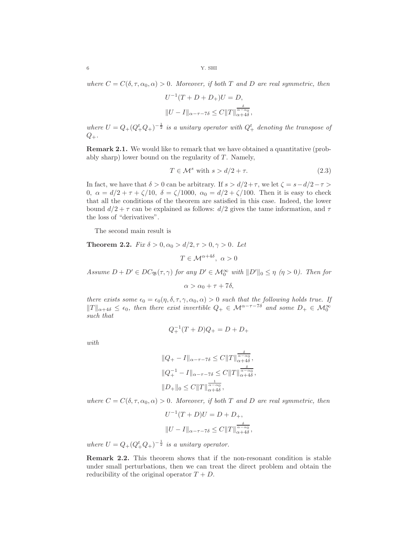*where*  $C = C(\delta, \tau, \alpha_0, \alpha) > 0$ *. Moreover, if both* T and D are real symmetric, then

$$
U^{-1}(T+D+D_+)U = D,
$$
  

$$
||U-I||_{\alpha-\tau-\tau\delta} \leq C||T||_{\alpha+4\delta}^{\frac{\delta}{\alpha-\alpha_0}},
$$

where  $U = Q_{+}(Q_{+}^{t}Q_{+})^{-\frac{1}{2}}$  is a unitary operator with  $Q_{+}^{t}$  denoting the transpose of  $Q_{+}$ .

Remark 2.1. We would like to remark that we have obtained a quantitative (probably sharp) lower bound on the regularity of  $T$ . Namely,

<span id="page-5-0"></span>
$$
T \in \mathcal{M}^s \text{ with } s > d/2 + \tau. \tag{2.3}
$$

In fact, we have that  $\delta > 0$  can be arbitrary. If  $s > d/2 + \tau$ , we let  $\zeta = s - d/2 - \tau >$ 0,  $\alpha = d/2 + \tau + \zeta/10$ ,  $\delta = \zeta/1000$ ,  $\alpha_0 = d/2 + \zeta/100$ . Then it is easy to check that all the conditions of the theorem are satisfied in this case. Indeed, the lower bound  $d/2 + \tau$  can be explained as follows:  $d/2$  gives the tame information, and  $\tau$ the loss of "derivatives".

The second main result is

<span id="page-5-1"></span>**Theorem 2.2.** *Fix*  $\delta > 0, \alpha_0 > d/2, \tau > 0, \gamma > 0$ *. Let* 

 $T \in \mathcal{M}^{\alpha+4\delta}, \ \alpha > 0$ 

*Assume*  $D + D' \in DC_{\mathfrak{B}}(\tau, \gamma)$  *for any*  $D' \in \mathcal{M}_0^{\infty}$  *with*  $||D'||_0 \leq \eta$  ( $\eta > 0$ ). Then for

$$
\alpha > \alpha_0 + \tau + 7\delta,
$$

*there exists some*  $\epsilon_0 = \epsilon_0(\eta, \delta, \tau, \gamma, \alpha_0, \alpha) > 0$  *such that the following holds true. If*  $||T||_{\alpha+4\delta} \leq \epsilon_0$ , then there exist invertible  $Q_+ \in \mathcal{M}^{\alpha-\tau-7\delta}$  and some  $D_+ \in \mathcal{M}_0^{\infty}$ *such that*

 $Q_+^{-1}(T+D)Q_+ = D + D_+$ 

$$
f_{\rm{max}}
$$

*with*

$$
||Q_{+} - I||_{\alpha-\tau-\tau\delta} \leq C||T||_{\alpha+\frac{\delta}{4+\delta}},
$$
  

$$
||Q_{+}^{-1} - I||_{\alpha-\tau-\tau\delta} \leq C||T||_{\alpha+\frac{\delta}{4+\delta}},
$$
  

$$
||D_{+}||_{0} \leq C||T||_{\alpha+\frac{4\delta}{4+\delta}},
$$

*where*  $C = C(\delta, \tau, \alpha_0, \alpha) > 0$ *. Moreover, if both* T and D are real symmetric, then

$$
U^{-1}(T+D)U = D + D_+,
$$
  

$$
||U - I||_{\alpha - \tau - 7\delta} \le C||T||_{\alpha + 4\delta}^{\frac{\delta}{\alpha - \alpha_0}}
$$

,

*where*  $U = Q_{+}(Q_{+}^{t}Q_{+})^{-\frac{1}{2}}$  *is a unitary operator.* 

Remark 2.2. This theorem shows that if the non-resonant condition is stable under small perturbations, then we can treat the direct problem and obtain the reducibility of the original operator  $T + D$ .

$$
_{\rm 6}
$$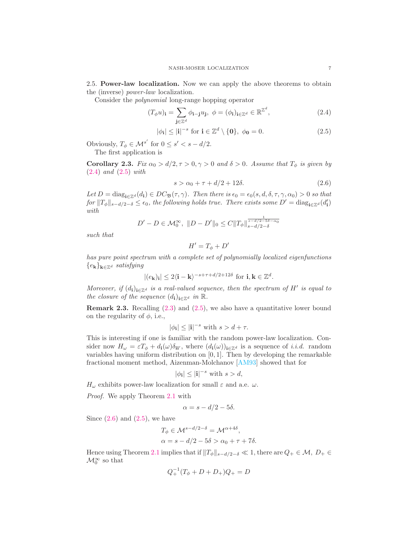2.5. Power-law localization. Now we can apply the above theorems to obtain the (inverse) *power-law* localization.

Consider the *polynomial* long-range hopping operator

$$
(T_{\phi}u)_\mathbf{i} = \sum_{\mathbf{j}\in\mathbb{Z}^d} \phi_{\mathbf{i}-\mathbf{j}}u_\mathbf{j}, \ \phi = (\phi_\mathbf{i})_{\mathbf{i}\in\mathbb{Z}^d} \in \mathbb{R}^{\mathbb{Z}^d},\tag{2.4}
$$

$$
|\phi_{\mathbf{i}}| \le |\mathbf{i}|^{-s} \text{ for } \mathbf{i} \in \mathbb{Z}^d \setminus \{\mathbf{0}\}, \ \phi_{\mathbf{0}} = 0. \tag{2.5}
$$

Obviously,  $T_{\phi} \in \mathcal{M}^{s'}$  for  $0 \leq s' < s - d/2$ . The first application is

<span id="page-6-3"></span>**Corollary 2.3.** *Fix*  $\alpha_0 > d/2, \tau > 0, \gamma > 0$  *and*  $\delta > 0$ *. Assume that*  $T_{\phi}$  *is given by* [\(2.4\)](#page-6-0) *and* [\(2.5\)](#page-6-1) *with*

<span id="page-6-2"></span><span id="page-6-1"></span><span id="page-6-0"></span>
$$
s > \alpha_0 + \tau + d/2 + 12\delta. \tag{2.6}
$$

 $Let D = \text{diag}_{\mathbf{i} \in \mathbb{Z}^d}(d_{\mathbf{i}}) \in DC_{\mathfrak{B}}(\tau, \gamma)$ *. Then there is*  $\epsilon_0 = \epsilon_0(s, d, \delta, \tau, \gamma, \alpha_0) > 0$  *so that*  $for ||T_{\phi}||_{s-d/2-\delta} \leq \epsilon_0$ , the following holds true. There exists some  $D' = \text{diag}_{i \in \mathbb{Z}^d}(d'_i)$ *with*

$$
D' - D \in \mathcal{M}_0^{\infty}, \ \|D - D'\|_0 \le C \|T_{\phi}\|_{s-d/2-\delta}^{\frac{1}{s-d/2-\delta-\alpha_0}}
$$

*such that*

$$
H' = T_{\phi} + D'
$$

*has pure point spectrum with a complete set of polynomially localized eigenfunctions*  ${e_{\bf k}}_{\bf k\in\mathbb{Z}^d}$  *satisfying* 

$$
|(e_{\mathbf{k}})_{\mathbf{i}}| \leq 2\langle \mathbf{i} - \mathbf{k} \rangle^{-s+\tau+d/2+12\delta}
$$
 for  $\mathbf{i}, \mathbf{k} \in \mathbb{Z}^d$ .

*Moreover, if*  $(d_i)_{i \in \mathbb{Z}^d}$  *is a real-valued sequence, then the spectrum of*  $H'$  *is equal to the closure of the sequence*  $(d_i)_{i \in \mathbb{Z}^d}$  *in*  $\mathbb{R}$ *.* 

**Remark 2.3.** Recalling  $(2.3)$  and  $(2.5)$ , we also have a quantitative lower bound on the regularity of  $\phi$ , i.e.,

$$
|\phi_{\mathbf{i}}| \le |\mathbf{i}|^{-s} \text{ with } s > d + \tau.
$$

This is interesting if one is familiar with the random power-law localization. Consider now  $H_{\omega} = \varepsilon T_{\phi} + d_{i}(\omega)\delta_{ii'}$ , where  $(d_{i}(\omega))_{i\in\mathbb{Z}^{d}}$  is a sequence of *i.i.d.* random variables having uniform distribution on  $[0, 1]$ . Then by developing the remarkable fractional moment method, Aizenman-Molchanov [\[AM93\]](#page-36-18) showed that for

$$
|\phi_{\mathbf{i}}| \leq |\mathbf{i}|^{-s} \text{ with } s > d,
$$

 $H_{\omega}$  exhibits power-law localization for small  $\varepsilon$  and a.e.  $\omega$ .

*Proof.* We apply Theorem [2.1](#page-4-1) with

$$
\alpha = s - d/2 - 5\delta.
$$

Since  $(2.6)$  and  $(2.5)$ , we have

$$
T_{\phi} \in \mathcal{M}^{s-d/2-\delta} = \mathcal{M}^{\alpha+4\delta},
$$
  
\n
$$
\alpha = s - d/2 - 5\delta > \alpha_0 + \tau + 7\delta.
$$

Hence using Theorem [2.1](#page-4-1) implies that if  $||T_{\phi}||_{s-d/2-\delta} \ll 1$ , there are  $Q_+ \in \mathcal{M}, D_+ \in$  $\mathcal{M}_0^{\infty}$  so that

$$
Q_+^{-1}(T_{\phi} + D + D_+)Q_+ = D
$$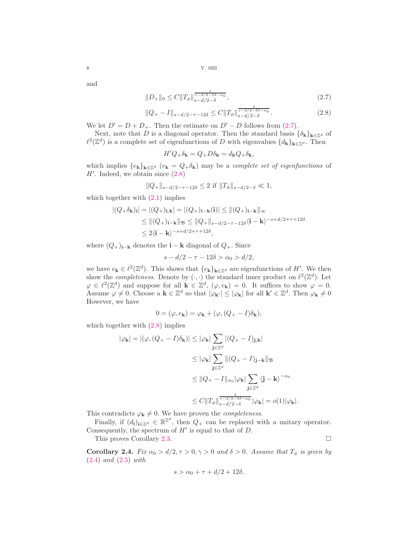and

$$
||D_{+}||_{0} \leq C||T_{\phi}||_{s-d/2-\delta}^{\frac{1}{s-d/2-5\delta-\alpha_{0}}},\tag{2.7}
$$

$$
||Q_{+} - I||_{s-d/2-\tau-12\delta} \leq C||T_{\phi}||_{s-d/2-\delta}^{\frac{s-d/2-5\delta-\alpha_{0}}{s-d/2-\delta}}.
$$
\n(2.8)

We let  $D' = D + D_+$ . Then the estimate on  $D' - D$  follows from [\(2.7\)](#page-7-0).

Next, note that D is a diagonal operator. Then the standard basis  $\{\delta_{\mathbf{k}}\}_{\mathbf{k}\in\mathbb{Z}^d}$  of  $\ell^2(\mathbb{Z}^d)$  is a complete set of eigenfunctions of D with eigenvalues  $\{d_k\}_{k\in\mathbb{Z}^d}$ . Then

<span id="page-7-1"></span><span id="page-7-0"></span>
$$
H'Q_{+}\delta_{\mathbf{k}} = Q_{+}D\delta_{\mathbf{k}} = d_{\mathbf{k}}Q_{+}\delta_{\mathbf{k}},
$$

which implies  $\{e_k\}_{k\in\mathbb{Z}^d}$   $(e_k = Q_+\delta_k)$  may be a *complete set of eigenfunctions* of  $H'$ . Indeed, we obtain since  $(2.8)$ 

$$
||Q_{+}||_{s-d/2-\tau-12\delta} \leq 2 \text{ if } ||T_{\phi}||_{s-d/2-\delta} \ll 1,
$$

which together with  $(2.1)$  implies

$$
|(Q+\delta_{\mathbf{k}})_\mathbf{i}| = |(Q_+)_{\mathbf{i},\mathbf{k}}| = |(Q_+)_{\mathbf{i}-\mathbf{k}}(\mathbf{i})| \le ||(Q_+)_{\mathbf{i}-\mathbf{k}}||_{\infty}
$$
  
\n
$$
\le ||(Q_+)_{\mathbf{i}-\mathbf{k}}||_{\mathfrak{B}} \le ||Q_+||_{s-d/2-\tau-12\delta}\langle \mathbf{i}-\mathbf{k}\rangle^{-s+d/2+\tau+12\delta}
$$
  
\n
$$
\le 2\langle \mathbf{i}-\mathbf{k}\rangle^{-s+d/2+\tau+12\delta},
$$

where  $(Q_+)_{i-k}$  denotes the  $i - k$  diagonal of  $Q_+$ . Since

$$
s - d/2 - \tau - 12\delta > \alpha_0 > d/2,
$$

we have  $e_k \in \ell^2(\mathbb{Z}^d)$ . This shows that  $\{e_k\}_{k \in \mathbb{Z}^d}$  are eigenfunctions of H'. We then show the *completeness*. Denote by  $(\cdot, \cdot)$  the standard inner product on  $\ell^2(\mathbb{Z}^d)$ . Let  $\varphi \in \ell^2(\mathbb{Z}^d)$  and suppose for all  $\mathbf{k} \in \mathbb{Z}^d$ ,  $(\varphi, e_{\mathbf{k}}) = 0$ . It suffices to show  $\varphi = 0$ . Assume  $\varphi \neq 0$ . Choose a  $\mathbf{k} \in \mathbb{Z}^d$  so that  $|\varphi_{\mathbf{k'}}| \leq |\varphi_{\mathbf{k}}|$  for all  $\mathbf{k'} \in \mathbb{Z}^d$ . Then  $\varphi_{\mathbf{k}} \neq 0$ However, we have

$$
0 = (\varphi, e_{\mathbf{k}}) = \varphi_{\mathbf{k}} + (\varphi, (Q_{+} - I)\delta_{\mathbf{k}}),
$$

which together with  $(2.8)$  implies

$$
|\varphi_{\mathbf{k}}| = |(\varphi, (Q_{+} - I)\delta_{\mathbf{k}})| \leq |\varphi_{\mathbf{k}}| \sum_{\mathbf{j} \in \mathbb{Z}^{d}} |(Q_{+} - I)_{\mathbf{j}, \mathbf{k}}|
$$
  

$$
\leq |\varphi_{\mathbf{k}}| \sum_{\mathbf{j} \in \mathbb{Z}^{d}} ||(Q_{+} - I)_{\mathbf{j} - \mathbf{k}}||_{\mathfrak{B}}
$$
  

$$
\leq ||Q_{+} - I||_{\alpha_{0}} |\varphi_{\mathbf{k}}| \sum_{\mathbf{j} \in \mathbb{Z}^{d}} \langle \mathbf{j} - \mathbf{k} \rangle^{-\alpha_{0}}
$$
  

$$
\leq C ||T_{\phi}||_{\substack{s = d/2 - 5\delta - \alpha_{0} \\ s = d/2 - \delta}}^{\delta} |\varphi_{\mathbf{k}}| = o(1) |\varphi_{\mathbf{k}}|.
$$

This contradicts  $\varphi_{\mathbf{k}} \neq 0$ . We have proven the *completeness*.

Finally, if  $(d_i)_{i \in \mathbb{Z}^d} \in \mathbb{R}^{\mathbb{Z}^d}$ , then  $Q_+$  can be replaced with a unitary operator. Consequently, the spectrum of  $H'$  is equal to that of  $D$ .

This proves Corollary [2.3.](#page-6-3)

<span id="page-7-2"></span>Corollary 2.4. *Fix*  $\alpha_0 > d/2, \tau > 0, \gamma > 0$  *and*  $\delta > 0$ *. Assume that*  $T_{\phi}$  *is given by* [\(2.4\)](#page-6-0) *and* [\(2.5\)](#page-6-1) *with*

$$
s > \alpha_0 + \tau + d/2 + 12\delta.
$$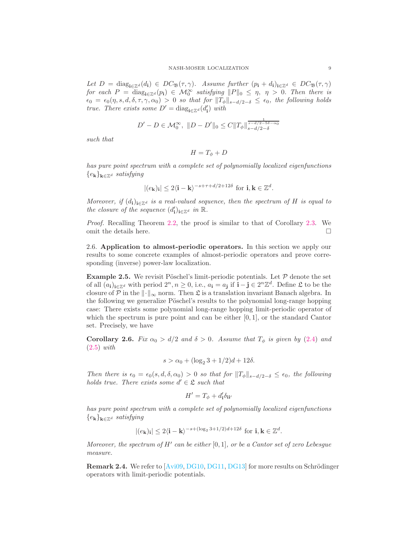*Let*  $D = \text{diag}_{i \in \mathbb{Z}^d}(d_i) \in DC_{\mathfrak{B}}(\tau, \gamma)$ *. Assume further*  $(p_i + d_i)_{i \in \mathbb{Z}^d} \in DC_{\mathfrak{B}}(\tau, \gamma)$ *for each*  $P = \text{diag}_{i \in \mathbb{Z}^d}(p_i) \in \mathcal{M}_0^{\infty}$  *satisfying*  $||P||_0 \leq \eta, \eta > 0$ . *Then there is*  $\epsilon_0 = \epsilon_0(\eta, s, d, \delta, \tau, \gamma, \alpha_0) > 0$  *so that for*  $\|\tilde{T}_{\phi}\|_{s-d/2-\delta} \leq \epsilon_0$ *, the following holds true. There exists some*  $D' = \text{diag}_{\mathbf{i} \in \mathbb{Z}^d} (d'_\mathbf{i})$  *with* 

$$
D' - D \in \mathcal{M}_0^{\infty}, \ \|D - D'\|_0 \le C \|T_{\phi}\|_{s-d/2-\delta}^{\frac{1}{s-d/2-5\delta - \alpha_0}}
$$

*such that*

$$
H = T_{\phi} + D
$$

*has pure point spectrum with a complete set of polynomially localized eigenfunctions* {ek}k∈Z<sup>d</sup> *satisfying*

$$
|(e_{\mathbf{k}})_{\mathbf{i}}| \leq 2\langle \mathbf{i} - \mathbf{k} \rangle^{-s+\tau+d/2+12\delta}
$$
 for  $\mathbf{i}, \mathbf{k} \in \mathbb{Z}^d$ .

*Moreover, if*  $(d_i)_{i \in \mathbb{Z}^d}$  *is a real-valued sequence, then the spectrum of* H *is equal to the closure of the sequence*  $(d'_i)_{i \in \mathbb{Z}^d}$  *in*  $\mathbb{R}$ *.* 

*Proof.* Recalling Theorem [2.2,](#page-5-1) the proof is similar to that of Corollary [2.3.](#page-6-3) We omit the details here.  $\Box$ 

2.6. Application to almost-periodic operators. In this section we apply our results to some concrete examples of almost-periodic operators and prove corresponding (inverse) power-law localization.

**Example 2.5.** We revisit Pöschel's limit-periodic potentials. Let  $P$  denote the set of all  $(a_i)_{i\in\mathbb{Z}^d}$  with period  $2^n, n \geq 0$ , i.e.,  $a_i = a_j$  if  $i - j \in 2^n \mathbb{Z}^d$ . Define  $\mathfrak L$  to be the closure of P in the  $\|\cdot\|_{\infty}$  norm. Then  $\mathfrak{L}$  is a translation invariant Banach algebra. In the following we generalize Pöschel's results to the polynomial long-range hopping case: There exists some polynomial long-range hopping limit-periodic operator of which the spectrum is pure point and can be either  $[0, 1]$ , or the standard Cantor set. Precisely, we have

Corollary 2.6. *Fix*  $\alpha_0 > d/2$  *and*  $\delta > 0$ *. Assume that*  $T_{\phi}$  *is given by* [\(2.4\)](#page-6-0) *and* [\(2.5\)](#page-6-1) *with*

$$
s > \alpha_0 + (\log_2 3 + 1/2)d + 12\delta.
$$

*Then there is*  $\epsilon_0 = \epsilon_0(s, d, \delta, \alpha_0) > 0$  *so that for*  $||T_{\phi}||_{s-d/2-\delta} \leq \epsilon_0$ , the following *holds true. There exists some*  $d' \in \mathcal{L}$  *such that* 

$$
H' = T_{\phi} + d_{\mathbf{i}}' \delta_{\mathbf{i} \mathbf{i}'}
$$

*has pure point spectrum with a complete set of polynomially localized eigenfunctions*  ${e_{\bf k}}_{\bf k\in\mathbb{Z}^d}$  *satisfying* 

$$
|(e_{\mathbf{k}})_{\mathbf{i}}| \leq 2\langle \mathbf{i} - \mathbf{k} \rangle^{-s + (\log_2 3 + 1/2)d + 12\delta}
$$
 for  $\mathbf{i}, \mathbf{k} \in \mathbb{Z}^d$ .

*Moreover, the spectrum of* H′ *can be either* [0, 1]*, or be a Cantor set of zero Lebesgue measure.*

**Remark 2.4.** We refer to  $\left[\text{Avi}09,\text{DG}10,\text{DG}11,\text{DG}13\right]$  for more results on Schrödinger operators with limit-periodic potentials.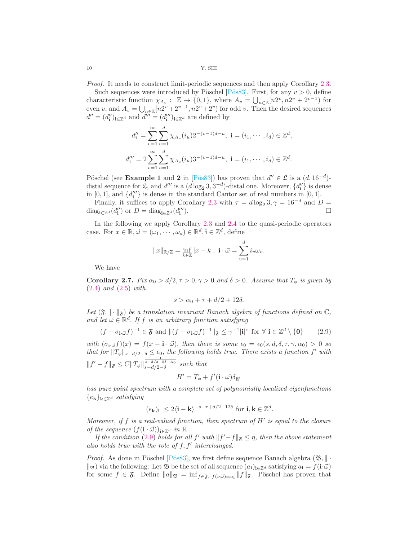*Proof.* It needs to construct limit-periodic sequences and then apply Corollary [2.3.](#page-6-3)

Such sequences were introduced by Pöschel [Pös83]. First, for any  $v > 0$ , define characteristic function  $\chi_{A_v}: \mathbb{Z} \to \{0,1\}$ , where  $A_v = \bigcup_{n \in \mathbb{Z}} [n2^v, n2^v + 2^{v-1}]$  for even v, and  $A_v = \bigcup_{n \in \mathbb{Z}} [n2^v + 2^{v-1}, n2^v + 2^v)$  for odd v. Then the desired sequences  $d'' = (d''_1)_{i \in \mathbb{Z}^d}$  and  $d''' = (d'''_1)_{i \in \mathbb{Z}^d}$  are defined by

$$
d_{\mathbf{i}}'' = \sum_{v=1}^{\infty} \sum_{u=1}^{d} \chi_{A_v}(i_u) 2^{-(v-1)d-u}, \ \mathbf{i} = (i_1, \cdots, i_d) \in \mathbb{Z}^d,
$$
  

$$
d_{\mathbf{i}}''' = 2 \sum_{v=1}^{\infty} \sum_{u=1}^{d} \chi_{A_v}(i_u) 3^{-(v-1)d-u}, \ \mathbf{i} = (i_1, \cdots, i_d) \in \mathbb{Z}^d.
$$

Pöschel (see **Example 1** and 2 in [Pös83]) has proven that  $d'' \in \mathfrak{L}$  is a  $(d, 16^{-d})$ distal sequence for  $\mathfrak{L}$ , and  $d'''$  is a  $(d \log_2 3, 3^{-d})$ -distal one. Moreover,  $\{d''_i\}$  is dense in  $[0, 1]$ , and  $\{d'''_i\}$  is dense in the standard Cantor set of real numbers in  $[0, 1]$ .

Finally, it suffices to apply Corollary [2.3](#page-6-3) with  $\tau = d \log_2 3, \gamma = 16^{-d}$  and  $D =$ diag<sub>i∈Z</sub><sup>d</sup>(d'') or D = diag<sub>i∈Z</sub><sup>d</sup>(d''' ).  $\Box$ 

In the following we apply Corollary [2.3](#page-6-3) and [2.4](#page-7-2) to the quasi-periodic operators case. For  $x \in \mathbb{R}, \vec{\omega} = (\omega_1, \dots, \omega_d) \in \mathbb{R}^d, \mathbf{i} \in \mathbb{Z}^d$ , define

$$
||x||_{\mathbb{R}/\mathbb{Z}} = \inf_{k \in \mathbb{Z}} |x - k|, \ \mathbf{i} \cdot \vec{\omega} = \sum_{v=1}^d i_v \omega_v.
$$

We have

<span id="page-9-1"></span>Corollary 2.7. *Fix*  $\alpha_0 > d/2, \tau > 0, \gamma > 0$  *and*  $\delta > 0$ *. Assume that*  $T_{\phi}$  *is given by* [\(2.4\)](#page-6-0) *and* [\(2.5\)](#page-6-1) *with*

<span id="page-9-0"></span>
$$
s > \alpha_0 + \tau + d/2 + 12\delta.
$$

Let  $(\mathfrak{F}, \|\cdot\|_{\mathfrak{F}})$  be a translation invariant Banach algebra of functions defined on  $\mathbb{C}$ , and let  $\vec{\omega} \in \mathbb{R}^d$ . If f *is an arbitrary function satisfying* 

$$
(f - \sigma_{\mathbf{i} \cdot \vec{\omega}} f)^{-1} \in \mathfrak{F} \text{ and } \|(f - \sigma_{\mathbf{i} \cdot \vec{\omega}} f)^{-1}\|_{\mathfrak{F}} \le \gamma^{-1} |\mathbf{i}|^{\tau} \text{ for } \forall \mathbf{i} \in \mathbb{Z}^d \setminus \{\mathbf{0}\} \tag{2.9}
$$

with  $(\sigma_{i\omega} f)(x) = f(x - i \cdot \vec{\omega})$ , then there is some  $\epsilon_0 = \epsilon_0(s, d, \delta, \tau, \gamma, \alpha_0) > 0$  so *that for*  $||T_{\phi}||_{s-d/2-\delta} \leq \epsilon_0$ , the following holds true. There exists a function f' with  $||f' - f||_{\mathfrak{F}} \leq C ||T_{\phi}||_{s-d/2-\delta}^{\frac{1}{s-d/2-5\delta-\alpha_0}}$  such that

$$
H' = T_{\phi} + f'(\mathbf{i} \cdot \vec{\omega}) \delta_{\mathbf{ii}'}
$$

*has pure point spectrum with a complete set of polynomially localized eigenfunctions*  ${e_{\bf k}}_{\bf k\in\mathbb{Z}^d}$  *satisfying* 

$$
|(e_{\mathbf{k}})_{\mathbf{i}}| \leq 2\langle \mathbf{i} - \mathbf{k} \rangle^{-s+\tau+d/2+12\delta}
$$
 for  $\mathbf{i}, \mathbf{k} \in \mathbb{Z}^d$ .

*Moreover, if* f *is a real-valued function, then spectrum of* H′ *is equal to the closure of the sequence*  $(f(i \cdot \vec{\omega}))_{i \in \mathbb{Z}^d}$  *in*  $\mathbb{R}$ *.* 

*If the condition* [\(2.9\)](#page-9-0) *holds for all*  $f'$  *with*  $||f' - f||_{\mathfrak{F}} \leq \eta$ , *then the above statement also holds true with the role of* f, f′ *interchanged.*

*Proof.* As done in Pöschel [Pös83], we first define sequence Banach algebra  $(\mathfrak{B}, \| \cdot \|)$  $\ket{\mathfrak{B}}$  via the following: Let  $\mathfrak{B}$  be the set of all sequence  $(a_i)_{i\in\mathbb{Z}^d}$  satisfying  $a_i = f(i\cdot\vec{\omega})$ for some  $f \in \mathfrak{F}$ . Define  $||a||_{\mathfrak{B}} = \inf_{f \in \mathfrak{F}, f(i \cdot \vec{\omega})=a_i} ||f||_{\mathfrak{F}}$ . Pöschel has proven that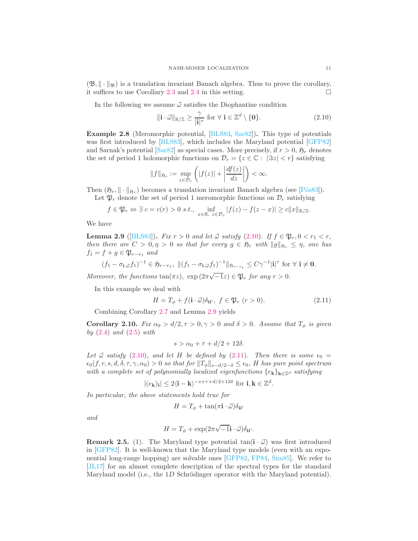$(\mathfrak{B}, \|\cdot\|_{\mathfrak{B}})$  is a translation invariant Banach algebra. Thus to prove the corollary, it suffices to use Corollary 2.3 and 2.4 in this setting. it suffices to use Corollary [2.3](#page-6-3) and [2.4](#page-7-2) in this setting.

In the following we assume  $\vec{\omega}$  satisfies the Diophantine condition

<span id="page-10-0"></span>
$$
\|\mathbf{i} \cdot \vec{\omega}\|_{\mathbb{R}/\mathbb{Z}} \ge \frac{\gamma}{|\mathbf{i}|^{\tau}} \text{ for } \forall \ \mathbf{i} \in \mathbb{Z}^d \setminus \{\mathbf{0}\}. \tag{2.10}
$$

Example 2.8 (Meromorphic potential, [\[BLS83,](#page-36-1) [Sar82\]](#page-37-0)). This type of potentials was first introduced by [\[BLS83\]](#page-36-1), which includes the Maryland potential [\[GFP82\]](#page-36-14) and Sarnak's potential [\[Sar82\]](#page-37-0) as special cases. More precisely, if  $r > 0$ ,  $\mathfrak{H}_r$  denotes the set of period 1 holomorphic functions on  $\mathcal{D}_r = \{z \in \mathbb{C} : |\Im z| < r\}$  satisfying

$$
||f||_{\mathfrak{H}_r} := \sup_{z \in \mathcal{D}_r} \left( |f(z)| + \left| \frac{df(z)}{dz} \right| \right) < \infty.
$$

Then  $(\mathfrak{H}_r, \|\cdot\|_{\mathfrak{H}_r})$  becomes a translation invariant Banach algebra (see [Pös83]).

Let  $\mathfrak{P}_r$  denote the set of period 1 meromorphic functions on  $\mathcal{D}_r$  satisfying

$$
f \in \mathfrak{P}_r \Leftrightarrow \exists c = c(r) > 0 \text{ s.t., } \inf_{x \in \mathbb{R}, z \in \mathcal{D}_r} |f(z) - f(z - x)| \ge c \|x\|_{\mathbb{R}/\mathbb{Z}}.
$$

We have

<span id="page-10-1"></span>**Lemma 2.9** ([\[BLS83\]](#page-36-1)). *Fix*  $r > 0$  *and let*  $\vec{\omega}$  *satisfy* [\(2.10\)](#page-10-0). *If*  $f \in \mathfrak{P}_r, 0 < r_1 < r$ , *then there are*  $C > 0, \eta > 0$  *so that for every*  $g \in \mathfrak{H}_r$  *with*  $||g||_{\mathfrak{H}_r} \leq \eta$ , *one has*  $f_1 = f + g \in \mathfrak{P}_{r-r_1}$  *and* 

$$
(f_1 - \sigma_{\mathbf{i} \cdot \vec{\omega}} f_1)^{-1} \in \mathfrak{H}_{r-r_1}, \ \|(f_1 - \sigma_{\mathbf{i} \cdot \vec{\omega}} f_1)^{-1}\|_{\mathfrak{H}_{r-r_1}} \leq C\gamma^{-1}|\mathbf{i}|^{\tau} \text{ for } \forall \ \mathbf{i} \neq \mathbf{0}.
$$

*Moreover, the functions*  $\tan(\pi z)$ ,  $\exp(2\pi\sqrt{-1}z) \in \mathfrak{P}_r$  *for any*  $r > 0$ *.* 

In this example we deal with

$$
H = T_{\phi} + f(\mathbf{i} \cdot \vec{\omega}) \delta_{\mathbf{i} \mathbf{i}'}, \ f \in \mathfrak{P}_r \ (r > 0). \tag{2.11}
$$

Combining Corollary [2.7](#page-9-1) and Lemma [2.9](#page-10-1) yields

Corollary 2.10. *Fix*  $\alpha_0 > d/2, \tau > 0, \gamma > 0$  *and*  $\delta > 0$ *. Assume that*  $T_{\phi}$  *is given by* [\(2.4\)](#page-6-0) *and* [\(2.5\)](#page-6-1) *with*

<span id="page-10-2"></span>
$$
s > \alpha_0 + \tau + d/2 + 12\delta.
$$

*Let*  $\vec{\omega}$  *satisfy* [\(2.10\)](#page-10-0)*, and let* H *be defined by* [\(2.11\)](#page-10-2)*. Then there is some*  $\epsilon_0$  =  $\epsilon_0(f, r, s, d, \delta, \tau, \gamma, \alpha_0) > 0$  *so that for*  $||T_{\phi}||_{s-d/2-\delta} \leq \epsilon_0$ *, H has pure point spectrum with a complete set of polynomially localized eigenfunctions*  $\{e_k\}_{k\in\mathbb{Z}^d}$  *satisfying* 

$$
|(e_{\mathbf{k}})_{\mathbf{i}}| \leq 2\langle \mathbf{i} - \mathbf{k} \rangle^{-s+\tau+d/2+12\delta}
$$
 for  $\mathbf{i}, \mathbf{k} \in \mathbb{Z}^d$ .

*In particular, the above statements hold true for*

$$
H = T_{\phi} + \tan(\pi \mathbf{i} \cdot \vec{\omega}) \delta_{\mathbf{ii}'}
$$

*and*

$$
H = T_{\phi} + \exp(2\pi\sqrt{-1}\mathbf{i}\cdot\vec{\omega})\delta_{\mathbf{ii'}}.
$$

**Remark 2.5.** (1). The Maryland type potential  $tan(i \cdot \vec{\omega})$  was first introduced in [\[GFP82\]](#page-36-14). It is well-known that the Maryland type models (even with an exponential long-range hopping) are solvable ones [\[GFP82,](#page-36-14) [FP84,](#page-36-23) [Sim85\]](#page-37-11). We refer to [\[JL17\]](#page-37-12) for an almost complete description of the spectral types for the standard Maryland model (i.e., the 1D Schrödinger operator with the Maryland potential).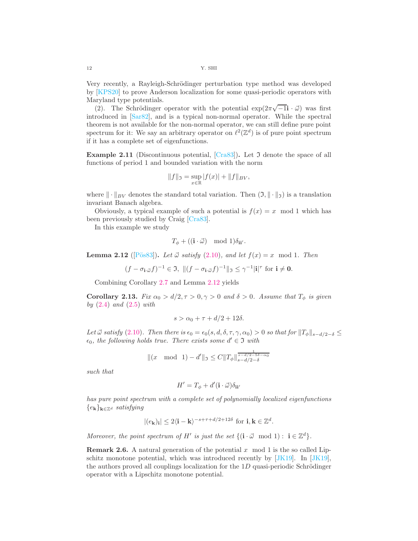Very recently, a Rayleigh-Schrödinger perturbation type method was developed by [\[KPS20\]](#page-37-13) to prove Anderson localization for some quasi-periodic operators with Maryland type potentials.

(2). The Schrödinger operator with the potential  $\exp(2\pi\sqrt{-1}\mathbf{i}\cdot\vec{\omega})$  was first introduced in [\[Sar82\]](#page-37-0), and is a typical non-normal operator. While the spectral theorem is not available for the non-normal operator, we can still define pure point spectrum for it: We say an arbitrary operator on  $\ell^2(\mathbb{Z}^d)$  is of pure point spectrum if it has a complete set of eigenfunctions.

**Example 2.11** (Discontinuous potential,  $[Cras3]$ ). Let  $\mathfrak{I}$  denote the space of all functions of period 1 and bounded variation with the norm

$$
||f||_{\mathfrak{I}} = \sup_{x \in \mathbb{R}} |f(x)| + ||f||_{BV},
$$

where  $\|\cdot\|_{BV}$  denotes the standard total variation. Then  $(\mathfrak{I}, \|\cdot\|_{\mathfrak{I}})$  is a translation invariant Banach algebra.

Obviously, a typical example of such a potential is  $f(x) = x \mod 1$  which has been previously studied by Craig [\[Cra83\]](#page-36-0).

In this example we study

$$
T_{\phi} + ((\mathbf{i} \cdot \vec{\omega}) \mod 1) \delta_{\mathbf{ii}'}
$$

<span id="page-11-0"></span>**Lemma 2.12** ([Pös83]). Let  $\vec{\omega}$  *satisfy* [\(2.10\)](#page-10-0), and let  $f(x) = x \mod 1$ . Then

$$
(f - \sigma_{\mathbf{i} \cdot \vec{\omega}} f)^{-1} \in \mathfrak{I}, \ \| (f - \sigma_{\mathbf{i} \cdot \vec{\omega}} f)^{-1} \|_{\mathfrak{I}} \leq \gamma^{-1} |\mathbf{i}|^{\tau} \text{ for } \mathbf{i} \neq \mathbf{0}.
$$

Combining Corollary [2.7](#page-9-1) and Lemma [2.12](#page-11-0) yields

Corollary 2.13. *Fix*  $\alpha_0 > d/2, \tau > 0, \gamma > 0$  *and*  $\delta > 0$ *. Assume that*  $T_{\phi}$  *is given by* [\(2.4\)](#page-6-0) *and* [\(2.5\)](#page-6-1) *with*

$$
s > \alpha_0 + \tau + d/2 + 12\delta.
$$

*Let*  $\vec{\omega}$  *satisfy* [\(2.10\)](#page-10-0). Then there is  $\epsilon_0 = \epsilon_0(s, d, \delta, \tau, \gamma, \alpha_0) > 0$  *so that for*  $||T_{\phi}||_{s-d/2-\delta} \le$  $\epsilon_0$ , the following holds true. There exists some  $d' \in \mathfrak{I}$  with

$$
||(x \mod 1) - d'||_{\mathfrak{I}} \leq C ||T_{\phi}||_{s-d/2-\delta}^{\frac{1}{s-d/2-5\delta-\alpha_0}}
$$

*such that*

$$
H' = T_{\phi} + d'(\mathbf{i} \cdot \vec{\omega}) \delta_{\mathbf{ii}'}
$$

*has pure point spectrum with a complete set of polynomially localized eigenfunctions*  ${e_{\bf k}}_{\bf k\in\mathbb{Z}^d}$  *satisfying* 

$$
|(e_{\mathbf{k}})_{\mathbf{i}}| \leq 2\langle \mathbf{i} - \mathbf{k} \rangle^{-s+\tau+d/2+12\delta}
$$
 for  $\mathbf{i}, \mathbf{k} \in \mathbb{Z}^d$ .

*Moreover, the point spectrum of*  $H'$  *is just the set*  $\{(\mathbf{i} \cdot \vec{\omega} \mod 1) : \mathbf{i} \in \mathbb{Z}^d\}.$ 

**Remark 2.6.** A natural generation of the potential x mod 1 is the so called Lipschitz monotone potential, which was introduced recently by [\[JK19\]](#page-37-14). In [\[JK19\]](#page-37-14), the authors proved all couplings localization for the  $1D$  quasi-periodic Schrödinger operator with a Lipschitz monotone potential.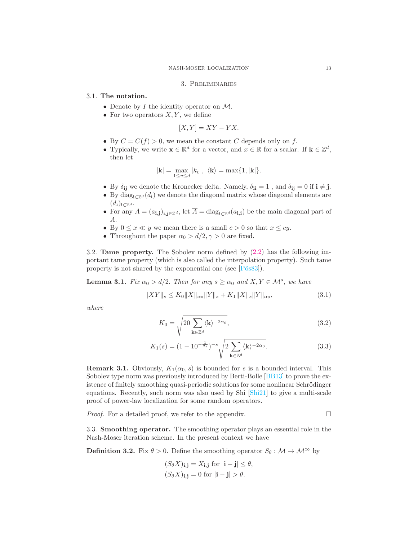#### 3. Preliminaries

## 3.1. The notation.

- Denote by  $I$  the identity operator on  $\mathcal{M}$ .
- For two operators  $X, Y$ , we define

$$
[X,Y] = XY - YX.
$$

- By  $C = C(f) > 0$ , we mean the constant C depends only on f.
- Typically, we write  $\mathbf{x} \in \mathbb{R}^d$  for a vector, and  $x \in \mathbb{R}$  for a scalar. If  $\mathbf{k} \in \mathbb{Z}^d$ , then let

$$
|\mathbf{k}| = \max_{1 \le v \le d} |k_v|, \ \langle \mathbf{k} \rangle = \max\{1, |\mathbf{k}|\}.
$$

- By  $\delta_{ij}$  we denote the Kronecker delta. Namely,  $\delta_{ii} = 1$ , and  $\delta_{ij} = 0$  if  $i \neq j$ .
- By diag<sub>i∈Z<sup>d</sup></sub>( $d_i$ ) we denote the diagonal matrix whose diagonal elements are  $(d_i)_{i\in\mathbb{Z}^d}$ .
- For any  $A = (a_{i,j})_{i,j \in \mathbb{Z}^d}$ , let  $\overline{A} = \text{diag}_{i \in \mathbb{Z}^d} (a_{i,i})$  be the main diagonal part of A.
- By  $0 \le x \ll y$  we mean there is a small  $c > 0$  so that  $x \le cy$ .
- Throughout the paper  $\alpha_0 > d/2, \gamma > 0$  are fixed.

3.2. Tame property. The Sobolev norm defined by [\(2.2\)](#page-4-0) has the following important tame property (which is also called the interpolation property). Such tame property is not shared by the exponential one (see  $[P\ddot{o}s83]$ ).

<span id="page-12-3"></span>**Lemma 3.1.** *Fix*  $\alpha_0 > d/2$ . *Then for any*  $s \geq \alpha_0$  *and*  $X, Y \in \mathcal{M}^s$ , *we have* 

$$
||XY||_{s} \le K_0 ||X||_{\alpha_0} ||Y||_{s} + K_1 ||X||_{s} ||Y||_{\alpha_0}, \tag{3.1}
$$

*where*

<span id="page-12-4"></span><span id="page-12-2"></span><span id="page-12-1"></span>
$$
K_0 = \sqrt{20 \sum_{\mathbf{k} \in \mathbb{Z}^d} \langle \mathbf{k} \rangle^{-2\alpha_0}},\tag{3.2}
$$

$$
K_1(s) = (1 - 10^{-\frac{1}{2s}})^{-s} \sqrt{2 \sum_{\mathbf{k} \in \mathbb{Z}^d} \langle \mathbf{k} \rangle^{-2\alpha_0}}.
$$
 (3.3)

**Remark 3.1.** Obviously,  $K_1(\alpha_0, s)$  is bounded for s is a bounded interval. This Sobolev type norm was previously introduced by Berti-Bolle [\[BB13\]](#page-36-24) to prove the existence of finitely smoothing quasi-periodic solutions for some nonlinear Schrödinger equations. Recently, such norm was also used by Shi [\[Shi21\]](#page-37-15) to give a multi-scale proof of power-law localization for some random operators.

*Proof.* For a detailed proof, we refer to the appendix.

3.3. Smoothing operator. The smoothing operator plays an essential role in the Nash-Moser iteration scheme. In the present context we have

<span id="page-12-0"></span>**Definition 3.2.** Fix  $\theta > 0$ . Define the smoothing operator  $S_{\theta}: \mathcal{M} \to \mathcal{M}^{\infty}$  by

$$
(S_{\theta}X)_{\mathbf{i},\mathbf{j}} = X_{\mathbf{i},\mathbf{j}} \text{ for } |\mathbf{i} - \mathbf{j}| \le \theta,
$$
  

$$
(S_{\theta}X)_{\mathbf{i},\mathbf{j}} = 0 \text{ for } |\mathbf{i} - \mathbf{j}| > \theta.
$$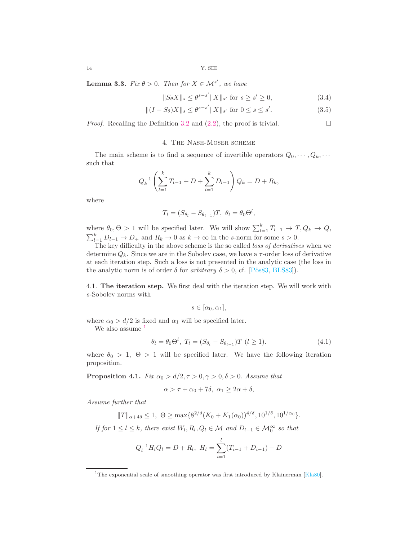<span id="page-13-5"></span>**Lemma 3.3.** *Fix*  $\theta > 0$ *. Then for*  $X \in \mathcal{M}^{s'}$ *, we have* 

<span id="page-13-4"></span><span id="page-13-3"></span>
$$
||S_{\theta}X||_{s} \le \theta^{s-s'}||X||_{s'} \text{ for } s \ge s' \ge 0,
$$
\n(3.4)

$$
||(I - S_{\theta})X||_{s} \le \theta^{s-s'}||X||_{s'} \text{ for } 0 \le s \le s'. \tag{3.5}
$$

*Proof.* Recalling the Definition [3.2](#page-12-0) and  $(2.2)$ , the proof is trivial.

## 4. The Nash-Moser scheme

The main scheme is to find a sequence of invertible operators  $Q_0, \dots, Q_k, \dots$ such that

$$
Q_k^{-1} \left( \sum_{l=1}^k T_{l-1} + D + \sum_{l=1}^k D_{l-1} \right) Q_k = D + R_k,
$$

where

$$
T_l = (S_{\theta_l} - S_{\theta_{l-1}})T, \ \theta_l = \theta_0 \Theta^l,
$$

where  $\theta_0, \Theta > 1$  will be specified later. We will show  $\sum_{l=1}^k T_{l-1} \to T, Q_k \to Q$ ,  $\sum_{l=1}^{k} D_{l-1} \to D_{+}$  and  $R_k \to 0$  as  $k \to \infty$  in the s-norm for some  $s > 0$ .

The key difficulty in the above scheme is the so called *loss of derivatives* when we determine  $Q_k$ . Since we are in the Sobolev case, we have a  $\tau$ -order loss of derivative at each iteration step. Such a loss is not presented in the analytic case (the loss in the analytic norm is of order  $\delta$  for *arbitrary*  $\delta > 0$ , cf. [Pös83, [BLS83\]](#page-36-1)).

4.1. The iteration step. We first deal with the iteration step. We will work with s-Sobolev norms with

<span id="page-13-1"></span>
$$
s\in[\alpha_0,\alpha_1],
$$

where  $\alpha_0 > d/2$  is fixed and  $\alpha_1$  will be specified later.

We also assume <sup>[1](#page-13-0)</sup>

$$
\theta_l = \theta_0 \Theta^l, \ T_l = (S_{\theta_l} - S_{\theta_{l-1}}) T \ (l \ge 1). \tag{4.1}
$$

where  $\theta_0 > 1$ ,  $\Theta > 1$  will be specified later. We have the following iteration proposition.

<span id="page-13-2"></span>**Proposition 4.1.** *Fix*  $\alpha_0 > d/2, \tau > 0, \gamma > 0, \delta > 0$ . *Assume that* 

$$
\alpha > \tau + \alpha_0 + 7\delta, \ \alpha_1 \ge 2\alpha + \delta,
$$

*Assume further that*

$$
||T||_{\alpha+4\delta} \le 1, \ \Theta \ge \max\{8^{2/\delta}(K_0 + K_1(\alpha_0))^{4/\delta}, 10^{1/\delta}, 10^{1/\alpha_0}\}.
$$

*If for*  $1 \leq l \leq k$ , there exist  $W_l$ ,  $R_l$ ,  $Q_l \in \mathcal{M}$  and  $D_{l-1} \in \mathcal{M}_0^{\infty}$  so that

$$
Q_l^{-1}H_lQ_l = D + R_l, \ H_l = \sum_{i=1}^l (T_{i-1} + D_{i-1}) + D
$$

<span id="page-13-0"></span><sup>&</sup>lt;sup>1</sup>The exponential scale of smoothing operator was first introduced by Klainerman [\[Kla80\]](#page-37-16).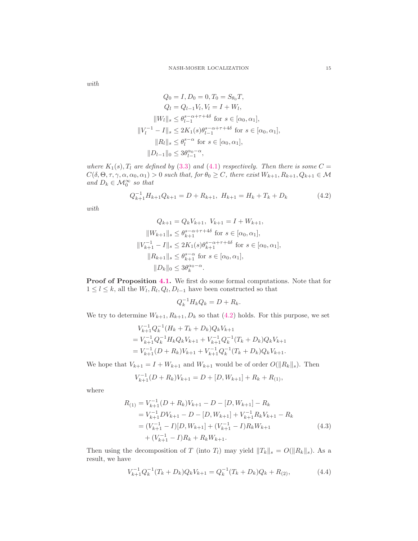*with*

$$
Q_0 = I, D_0 = 0, T_0 = S_{\theta_0} T,
$$
  
\n
$$
Q_l = Q_{l-1} V_l, V_l = I + W_l,
$$
  
\n
$$
||W_l||_s \leq \theta_{l-1}^{s-\alpha+\tau+4\delta} \text{ for } s \in [\alpha_0, \alpha_1],
$$
  
\n
$$
||V_l^{-1} - I||_s \leq 2K_1(s)\theta_{l-1}^{s-\alpha+\tau+4\delta} \text{ for } s \in [\alpha_0, \alpha_1],
$$
  
\n
$$
||R_l||_s \leq \theta_l^{s-\alpha} \text{ for } s \in [\alpha_0, \alpha_1],
$$
  
\n
$$
||D_{l-1}||_0 \leq 3\theta_{l-1}^{\alpha_0-\alpha},
$$

*where*  $K_1(s)$ ,  $T_l$  *are defined by* [\(3.3\)](#page-12-1) *and* [\(4.1\)](#page-13-1) *respectively. Then there is some*  $C =$  $C(\delta, \Theta, \tau, \gamma, \alpha, \alpha_0, \alpha_1) > 0$  such that, for  $\theta_0 \ge C$ , there exist  $W_{k+1}, R_{k+1}, Q_{k+1} \in \mathcal{M}$ *and*  $D_k \in \mathcal{M}_0^{\infty}$  *so that* 

$$
Q_{k+1}^{-1}H_{k+1}Q_{k+1} = D + R_{k+1}, \ H_{k+1} = H_k + T_k + D_k \tag{4.2}
$$

*with*

$$
Q_{k+1} = Q_k V_{k+1}, V_{k+1} = I + W_{k+1},
$$
  
\n
$$
||W_{k+1}||_s \leq \theta_{k+1}^{s-\alpha+\tau+4\delta} \text{ for } s \in [\alpha_0, \alpha_1],
$$
  
\n
$$
||V_{k+1}^{-1} - I||_s \leq 2K_1(s)\theta_{k+1}^{s-\alpha+\tau+4\delta} \text{ for } s \in [\alpha_0, \alpha_1],
$$
  
\n
$$
||R_{k+1}||_s \leq \theta_{k+1}^{s-\alpha} \text{ for } s \in [\alpha_0, \alpha_1],
$$
  
\n
$$
||D_k||_0 \leq 3\theta_k^{\alpha_0-\alpha}.
$$

Proof of Proposition [4.1.](#page-13-2) We first do some formal computations. Note that for  $1 \leq l \leq k$ , all the  $W_l$ ,  $R_l$ ,  $Q_l$ ,  $D_{l-1}$  have been constructed so that

<span id="page-14-1"></span><span id="page-14-0"></span>
$$
Q_k^{-1}H_kQ_k = D + R_k.
$$

We try to determine  $W_{k+1}, R_{k+1}, D_k$  so that [\(4.2\)](#page-14-0) holds. For this purpose, we set

$$
V_{k+1}^{-1}Q_k^{-1}(H_k + T_k + D_k)Q_kV_{k+1}
$$
  
=  $V_{k+1}^{-1}Q_k^{-1}H_kQ_kV_{k+1} + V_{k+1}^{-1}Q_k^{-1}(T_k + D_k)Q_kV_{k+1}$   
=  $V_{k+1}^{-1}(D + R_k)V_{k+1} + V_{k+1}^{-1}Q_k^{-1}(T_k + D_k)Q_kV_{k+1}$ .

We hope that  $V_{k+1} = I + W_{k+1}$  and  $W_{k+1}$  would be of order  $O(||R_k||_s)$ . Then

$$
V_{k+1}^{-1}(D+R_k)V_{k+1}=D+[D,W_{k+1}]+R_k+R_{(1)},
$$

where

$$
R_{(1)} = V_{k+1}^{-1} (D + R_k) V_{k+1} - D - [D, W_{k+1}] - R_k
$$
  
=  $V_{k+1}^{-1} D V_{k+1} - D - [D, W_{k+1}] + V_{k+1}^{-1} R_k V_{k+1} - R_k$   
=  $(V_{k+1}^{-1} - I)[D, W_{k+1}] + (V_{k+1}^{-1} - I) R_k W_{k+1}$   
+  $(V_{k+1}^{-1} - I) R_k + R_k W_{k+1}$ . (4.3)

Then using the decomposition of T (into T<sub>l</sub>) may yield  $||T_k||_s = O(||R_k||_s)$ . As a result, we have

$$
V_{k+1}^{-1}Q_k^{-1}(T_k + D_k)Q_kV_{k+1} = Q_k^{-1}(T_k + D_k)Q_k + R_{(2)},
$$
\n(4.4)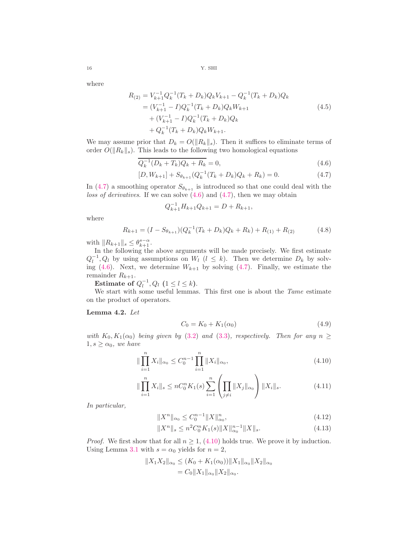where

$$
R_{(2)} = V_{k+1}^{-1} Q_k^{-1} (T_k + D_k) Q_k V_{k+1} - Q_k^{-1} (T_k + D_k) Q_k
$$
  
=  $(V_{k+1}^{-1} - I) Q_k^{-1} (T_k + D_k) Q_k W_{k+1}$   
+  $(V_{k+1}^{-1} - I) Q_k^{-1} (T_k + D_k) Q_k$   
+  $Q_k^{-1} (T_k + D_k) Q_k W_{k+1}$ . (4.5)

We may assume prior that  $D_k = O(||R_k||_s)$ . Then it suffices to eliminate terms of order  $O(||R_k||_s)$ . This leads to the following two homological equations

$$
\overline{Q_k^{-1}(D_k + T_k)Q_k + R_k} = 0,
$$
\n(4.6)

$$
[D, W_{k+1}] + S_{\theta_{k+1}} (Q_k^{-1} (T_k + D_k) Q_k + R_k) = 0.
$$
 (4.7)

In [\(4.7\)](#page-15-0) a smoothing operator  $S_{\theta_{k+1}}$  is introduced so that one could deal with the *loss of derivatives*. If we can solve [\(4.6\)](#page-15-1) and [\(4.7\)](#page-15-0), then we may obtain

<span id="page-15-9"></span><span id="page-15-8"></span><span id="page-15-1"></span><span id="page-15-0"></span>
$$
Q_{k+1}^{-1}H_{k+1}Q_{k+1} = D + R_{k+1},
$$

where

$$
R_{k+1} = (I - S_{\theta_{k+1}})(Q_k^{-1}(T_k + D_k)Q_k + R_k) + R_{(1)} + R_{(2)}
$$
(4.8)

with  $||R_{k+1}||_s \leq \theta_{k+1}^{s-\alpha}$ .

In the following the above arguments will be made precisely. We first estimate  $Q_l^{-1}, Q_l$  by using assumptions on  $W_l$   $(l \leq k)$ . Then we determine  $D_k$  by solv-ing [\(4.6\)](#page-15-1). Next, we determine  $W_{k+1}$  by solving [\(4.7\)](#page-15-0). Finally, we estimate the remainder  $R_{k+1}$ .

Estimate of  $Q_l^{-1}, Q_l$   $(1 \leq l \leq k)$ .

We start with some useful lemmas. This first one is about the *Tame* estimate on the product of operators.

## <span id="page-15-7"></span>Lemma 4.2. *Let*

<span id="page-15-6"></span><span id="page-15-4"></span><span id="page-15-2"></span>
$$
C_0 = K_0 + K_1(\alpha_0)
$$
\n(4.9)

*with*  $K_0, K_1(\alpha_0)$  *being given by* [\(3.2\)](#page-12-2) *and* [\(3.3\)](#page-12-1)*, respectively. Then for any*  $n \geq$  $1, s \ge \alpha_0$ , we have

$$
\|\prod_{i=1}^{n} X_i\|_{\alpha_0} \le C_0^{n-1} \prod_{i=1}^{n} \|X_i\|_{\alpha_0},
$$
\n(4.10)

$$
\|\prod_{i=1}^{n} X_i\|_{s} \le nC_0^n K_1(s) \sum_{i=1}^{n} \left(\prod_{j \ne i} \|X_j\|_{\alpha_0}\right) \|X_i\|_{s}.
$$
 (4.11)

*In particular,*

<span id="page-15-5"></span><span id="page-15-3"></span>
$$
||X^n||_{\alpha_0} \le C_0^{n-1} ||X||_{\alpha_0}^n, \tag{4.12}
$$

$$
||X^n||_s \le n^2 C_0^n K_1(s) ||X||_{\alpha_0}^{n-1} ||X||_s.
$$
\n(4.13)

*Proof.* We first show that for all  $n \geq 1$ , [\(4.10\)](#page-15-2) holds true. We prove it by induction. Using Lemma [3.1](#page-12-3) with  $s = \alpha_0$  yields for  $n = 2$ ,

$$
||X_1X_2||_{\alpha_0} \le (K_0 + K_1(\alpha_0))||X_1||_{\alpha_0}||X_2||_{\alpha_0}
$$
  
=  $C_0||X_1||_{\alpha_0}||X_2||_{\alpha_0}.$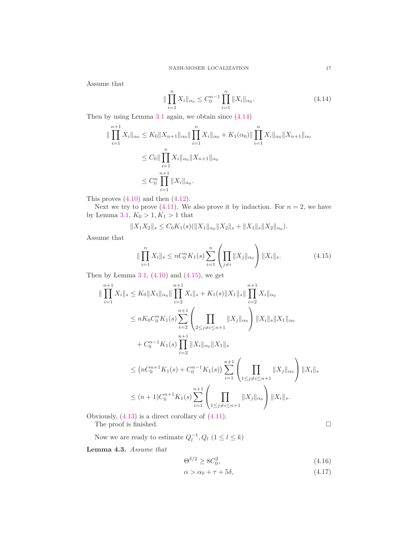Assume that

<span id="page-16-0"></span>
$$
\|\prod_{i=1}^{n} X_i\|_{\alpha_0} \leq C_0^{n-1} \prod_{i=1}^{n} \|X_i\|_{\alpha_0}.
$$
\n(4.14)

Then by using Lemma [3.1](#page-12-3) again, we obtain since [\(4.14\)](#page-16-0)

$$
\|\prod_{i=1}^{n+1} X_i\|_{\alpha_0} \le K_0 \|X_{n+1}\|_{\alpha_0} \|\prod_{i=1}^n X_i\|_{\alpha_0} + K_1(\alpha_0) \|\prod_{i=1}^n X_i\|_{\alpha_0} \|X_{n+1}\|_{\alpha_0}
$$
  

$$
\le C_0 \|\prod_{i=1}^n X_i\|_{\alpha_0} \|X_{n+1}\|_{\alpha_0}
$$
  

$$
\le C_0^n \prod_{i=1}^{n+1} \|X_i\|_{\alpha_0}.
$$

This proves  $(4.10)$  and then  $(4.12)$ .

Next we try to prove [\(4.11\)](#page-15-4). We also prove it by induction. For  $n = 2$ , we have by Lemma [3.1,](#page-12-3)  $K_0 > 1, K_1 > 1$  that

$$
||X_1X_2||_s \leq C_0K_1(s)(||X_1||_{\alpha_0}||X_2||_s + ||X_1||_s||X_2||_{\alpha_0}).
$$

Assume that

$$
\|\prod_{i=1}^{n} X_i\|_{s} \le nC_0^n K_1(s) \sum_{i=1}^{n} \left(\prod_{j \ne i} \|X_j\|_{\alpha_0}\right) \|X_i\|_{s}.
$$
 (4.15)

Then by Lemma [3.1,](#page-12-3)  $(4.10)$  and  $(4.15)$ , we get

$$
\|\prod_{i=1}^{n+1} X_i\|_{s} \leq K_0 \|X_1\|_{\alpha_0} \|\prod_{i=2}^{n+1} X_i\|_{s} + K_1(s) \|X_1\|_{s} \|\prod_{i=2}^{n+1} X_i\|_{\alpha_0}
$$
  
\n
$$
\leq nK_0 C_0^n K_1(s) \sum_{i=2}^{n+1} \left( \prod_{2 \leq j \neq i \leq n+1} \|X_j\|_{\alpha_0} \right) \|X_i\|_{s} \|X_1\|_{\alpha_0}
$$
  
\n
$$
+ C_0^{n-1} K_1(s) \prod_{i=2}^{n+1} \|X_i\|_{\alpha_0} \|X_1\|_{s}
$$
  
\n
$$
\leq (nC_0^{n+1} K_1(s) + C_0^{n-1} K_1(s)) \sum_{i=1}^{n+1} \left( \prod_{1 \leq j \neq i \leq n+1} \|X_j\|_{\alpha_0} \right) \|X_i\|_{s}
$$
  
\n
$$
\leq (n+1)C_0^{n+1} K_1(s) \sum_{i=1}^{n+1} \left( \prod_{1 \leq j \neq i \leq n+1} \|X_j\|_{\alpha_0} \right) \|X_i\|_{s}.
$$

Obviously, [\(4.13\)](#page-15-5) is a direct corollary of [\(4.11\)](#page-15-4). The proof is finished.  $\hfill \square$ 

Now we are ready to estimate  $Q_l^{-1}, Q_l$   $(1 \le l \le k)$ 

<span id="page-16-3"></span>Lemma 4.3. *Assume that*

$$
\Theta^{\delta/2} \ge 8C_0^2,\tag{4.16}
$$

$$
\alpha > \alpha_0 + \tau + 5\delta, \tag{4.17}
$$

<span id="page-16-2"></span><span id="page-16-1"></span>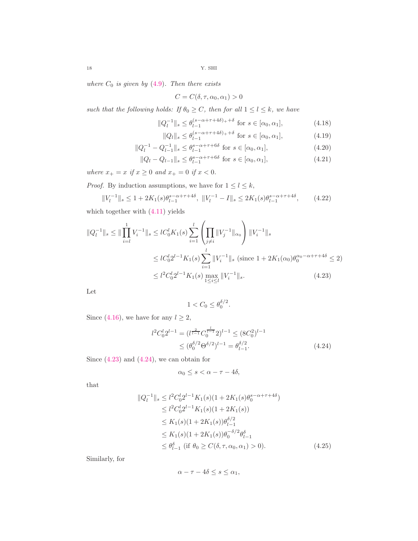*where*  $C_0$  *is given by* [\(4.9\)](#page-15-6)*. Then there exists* 

<span id="page-17-6"></span><span id="page-17-5"></span><span id="page-17-3"></span>
$$
C = C(\delta, \tau, \alpha_0, \alpha_1) > 0
$$

*such that the following holds:* If  $\theta_0 \ge C$ *, then for all*  $1 \le l \le k$ *, we have* 

$$
||Q_l^{-1}||_s \le \theta_{l-1}^{(s-\alpha+\tau+4\delta)+\delta} \text{ for } s \in [\alpha_0, \alpha_1],
$$
\n(4.18)

<span id="page-17-4"></span>
$$
||Q_l||_s \le \theta_{l-1}^{(s-\alpha+\tau+4\delta)_+ + \delta} \text{ for } s \in [\alpha_0, \alpha_1], \tag{4.19}
$$

$$
||Q_l^{-1} - Q_{l-1}^{-1}||_s \le \theta_{l-1}^{s-\alpha+\tau+6\delta} \text{ for } s \in [\alpha_0, \alpha_1],
$$
\n(4.20)

$$
||Q_l - Q_{l-1}||_s \le \theta_{l-1}^{s - \alpha + \tau + 6\delta} \text{ for } s \in [\alpha_0, \alpha_1],
$$
\n(4.21)

 $where \; x_+=x \; \emph{if} \; x\geq 0 \; \emph{and} \; x_+=0 \; \emph{if} \; x<0.$ 

*Proof.* By induction assumptions, we have for  $1 \leq l \leq k$ ,

$$
||V_l^{-1}||_s \le 1 + 2K_1(s)\theta_{l-1}^{s-\alpha+\tau+4\delta}, \ ||V_l^{-1} - I||_s \le 2K_1(s)\theta_{l-1}^{s-\alpha+\tau+4\delta}, \qquad (4.22)
$$

which together with [\(4.11\)](#page-15-4) yields

$$
||Q_l^{-1}||_s \le ||\prod_{i=l}^1 V_i^{-1}||_s \le lC_0^l K_1(s) \sum_{i=1}^l \left(\prod_{j\neq i} ||V_j^{-1}||_{\alpha_0}\right) ||V_i^{-1}||_s
$$
  

$$
\le lC_0^l 2^{l-1} K_1(s) \sum_{i=1}^l ||V_i^{-1}||_s \text{ (since } 1 + 2K_1(\alpha_0)\theta_0^{\alpha_0 - \alpha + \tau + 4\delta} \le 2)
$$
  

$$
\le l^2 C_0^l 2^{l-1} K_1(s) \max_{1 \le i \le l} ||V_i^{-1}||_s.
$$
 (4.23)

Let

<span id="page-17-1"></span><span id="page-17-0"></span>
$$
1 < C_0 \le \theta_0^{\delta/2}.
$$

Since [\(4.16\)](#page-16-2), we have for any  $l \geq 2$ ,

$$
l^2 C_0^l 2^{l-1} = (l^{\frac{2}{l-1}} C_0^{\frac{l}{l-1}} 2)^{l-1} \le (8C_0^2)^{l-1}
$$
  
 
$$
\le (\theta_0^{\delta/2} \Theta^{\delta/2})^{l-1} = \theta_{l-1}^{\delta/2}.
$$
 (4.24)

Since  $(4.23)$  and  $(4.24)$ , we can obtain for

$$
\alpha_0 \le s < \alpha - \tau - 4\delta,
$$

that

$$
||Q_l^{-1}||_s \le l^2 C_0^l 2^{l-1} K_1(s)(1 + 2K_1(s)\theta_0^{s-\alpha+\tau+4\delta})
$$
  
\n
$$
\le l^2 C_0^l 2^{l-1} K_1(s)(1 + 2K_1(s))
$$
  
\n
$$
\le K_1(s)(1 + 2K_1(s))\theta_{l-1}^{\delta/2}
$$
  
\n
$$
\le K_1(s)(1 + 2K_1(s))\theta_0^{-\delta/2}\theta_{l-1}^{\delta}
$$
  
\n
$$
\le \theta_{l-1}^{\delta} \text{ (if } \theta_0 \ge C(\delta, \tau, \alpha_0, \alpha_1) > 0).
$$
 (4.25)

Similarly, for

<span id="page-17-2"></span>
$$
\alpha - \tau - 4\delta \le s \le \alpha_1,
$$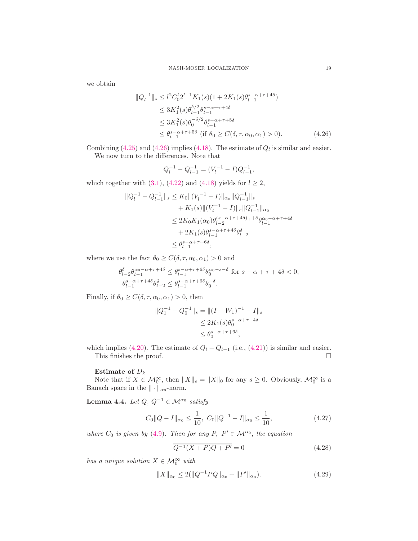we obtain

$$
\|Q_l^{-1}\|_s \le l^2 C_0^l 2^{l-1} K_1(s)(1 + 2K_1(s)\theta_{l-1}^{s-\alpha+\tau+4\delta})
$$
  
\n
$$
\le 3K_1^2(s)\theta_{l-1}^{\delta/2}\theta_{l-1}^{s-\alpha+\tau+4\delta}
$$
  
\n
$$
\le 3K_1^2(s)\theta_0^{-\delta/2}\theta_{l-1}^{s-\alpha+\tau+5\delta}
$$
  
\n
$$
\le \theta_{l-1}^{s-\alpha+\tau+5\delta} \text{ (if } \theta_0 \ge C(\delta, \tau, \alpha_0, \alpha_1) > 0).
$$
 (4.26)

Combining [\(4.25\)](#page-17-2) and [\(4.26\)](#page-18-0) implies [\(4.18\)](#page-17-3). The estimate of  $Q_l$  is similar and easier. We now turn to the differences. Note that

<span id="page-18-0"></span>
$$
Q_l^{-1} - Q_{l-1}^{-1} = (V_l^{-1} - I)Q_{l-1}^{-1},
$$

which together with [\(3.1\)](#page-12-4), [\(4.22\)](#page-17-4) and [\(4.18\)](#page-17-3) yields for  $l \geq 2$ ,

$$
||Q_l^{-1} - Q_{l-1}^{-1}||_s \le K_0 ||(V_l^{-1} - I)||_{\alpha_0} ||Q_{l-1}^{-1}||_s
$$
  
+ K<sub>1</sub>(s)||(V<sub>l</sub><sup>-1</sup> - I)||<sub>s</sub>||Q<sub>l-1</sub><sup>-1</sup>||<sub>\alpha</sub>  

$$
\le 2K_0 K_1(\alpha_0) \theta_{l-2}^{(s-\alpha+\tau+4\delta)+\delta} \theta_{l-1}^{\alpha_0-\alpha+\tau+4\delta}
$$
  
+ 2K<sub>1</sub>(s)\theta\_{l-1}^{s-\alpha+\tau+4\delta} \theta\_{l-2}^{\delta}  

$$
\le \theta_{l-1}^{s-\alpha+\tau+6\delta},
$$

where we use the fact  $\theta_0 \ge C(\delta, \tau, \alpha_0, \alpha_1) > 0$  and

$$
\begin{aligned} &\theta_{l-2}^{\delta}\theta_{l-1}^{\alpha_0-\alpha+\tau+4\delta}\leq\theta_{l-1}^{s-\alpha+\tau+6\delta}\theta_0^{\alpha_0-s-\delta}\ \ \text{for}\ s-\alpha+\tau+4\delta<0,\\ &\theta_{l-1}^{s-\alpha+\tau+4\delta}\theta_{l-2}^{\delta}\leq\theta_{l-1}^{s-\alpha+\tau+6\delta}\theta_0^{-\delta}. \end{aligned}
$$

Finally, if  $\theta_0 \geq C(\delta, \tau, \alpha_0, \alpha_1) > 0$ , then

$$
||Q_1^{-1} - Q_0^{-1}||_s = ||(I + W_1)^{-1} - I||_s
$$
  
\n
$$
\leq 2K_1(s)\theta_0^{s - \alpha + \tau + 4\delta}
$$
  
\n
$$
\leq \theta_0^{s - \alpha + \tau + 6\delta},
$$

which implies [\(4.20\)](#page-17-5). The estimate of  $Q_l - Q_{l-1}$  (i.e., [\(4.21\)](#page-17-6)) is similar and easier.<br>This finishes the proof. This finishes the proof.

# Estimate of  $D_k$

Note that if  $X \in \mathcal{M}_0^{\infty}$ , then  $||X||_s = ||X||_0$  for any  $s \geq 0$ . Obviously,  $\mathcal{M}_0^{\infty}$  is a Banach space in the  $\|\cdot\|_{\alpha_0}$ -norm.

<span id="page-18-4"></span>Lemma 4.4. *Let*  $Q$ ,  $Q^{-1}$  ∈  $\mathcal{M}^{\alpha_0}$  *satisfy* 

$$
C_0 ||Q - I||_{\alpha_0} \le \frac{1}{10}, \ C_0 ||Q^{-1} - I||_{\alpha_0} \le \frac{1}{10}, \tag{4.27}
$$

*where*  $C_0$  *is given by* [\(4.9\)](#page-15-6)*. Then for any*  $P$ ,  $P' \in M^{\alpha_0}$ , the equation

<span id="page-18-3"></span><span id="page-18-2"></span><span id="page-18-1"></span>
$$
\overline{Q^{-1}(X+P)Q+P'} = 0\tag{4.28}
$$

*has a unique solution*  $X \in \mathcal{M}_0^{\infty}$  *with* 

$$
||X||_{\alpha_0} \le 2(||Q^{-1}PQ||_{\alpha_0} + ||P'||_{\alpha_0}).
$$
\n(4.29)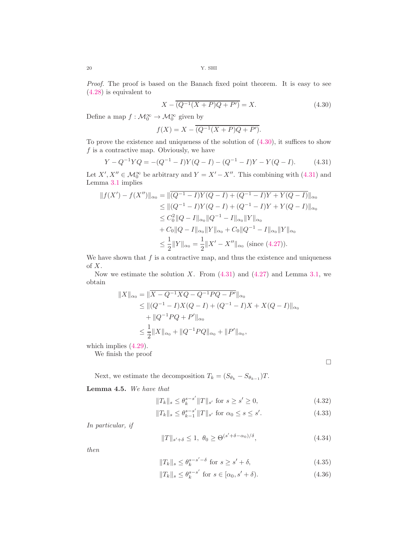*Proof.* The proof is based on the Banach fixed point theorem. It is easy to see [\(4.28\)](#page-18-1) is equivalent to

<span id="page-19-0"></span>
$$
X - \overline{(Q^{-1}(X+P)Q+P')} = X.
$$
\n(4.30)

Define a map  $f: \mathcal{M}_0^{\infty} \to \mathcal{M}_0^{\infty}$  given by

<span id="page-19-1"></span>
$$
f(X) = X - \overline{(Q^{-1}(X+P)Q + P')}.
$$

To prove the existence and uniqueness of the solution of [\(4.30\)](#page-19-0), it suffices to show  $f$  is a contractive map. Obviously, we have

$$
Y - Q^{-1}YQ = -(Q^{-1} - I)Y(Q - I) - (Q^{-1} - I)Y - Y(Q - I). \tag{4.31}
$$

Let  $X', X'' \in \mathcal{M}_0^{\infty}$  be arbitrary and  $Y = X' - X''$ . This combining with [\(4.31\)](#page-19-1) and Lemma [3.1](#page-12-3) implies

$$
||f(X') - f(X'')||_{\alpha_0} = ||\overline{(Q^{-1} - I)Y(Q - I) + (Q^{-1} - I)Y + Y(Q - I)}||_{\alpha_0}
$$
  
\n
$$
\leq ||(Q^{-1} - I)Y(Q - I) + (Q^{-1} - I)Y + Y(Q - I) ||_{\alpha_0}
$$
  
\n
$$
\leq C_0^2 ||Q - I||_{\alpha_0} ||Q^{-1} - I||_{\alpha_0} ||Y||_{\alpha_0}
$$
  
\n
$$
+ C_0 ||Q - I||_{\alpha_0} ||Y||_{\alpha_0} + C_0 ||Q^{-1} - I||_{\alpha_0} ||Y||_{\alpha_0}
$$
  
\n
$$
\leq \frac{1}{2} ||Y||_{\alpha_0} = \frac{1}{2} ||X' - X''||_{\alpha_0} \text{ (since (4.27))}.
$$

We have shown that  $f$  is a contractive map, and thus the existence and uniqueness of X.

Now we estimate the solution X. From  $(4.31)$  and  $(4.27)$  and Lemma [3.1,](#page-12-3) we obtain

$$
||X||_{\alpha_0} = ||\overline{X - Q^{-1}XQ - Q^{-1}PQ - P'}||_{\alpha_0}
$$
  
\n
$$
\leq ||(Q^{-1} - I)X(Q - I) + (Q^{-1} - I)X + X(Q - I)||_{\alpha_0}
$$
  
\n
$$
+ ||Q^{-1}PQ + P'||_{\alpha_0}
$$
  
\n
$$
\leq \frac{1}{2} ||X||_{\alpha_0} + ||Q^{-1}PQ||_{\alpha_0} + ||P'||_{\alpha_0},
$$

which implies [\(4.29\)](#page-18-3).

We finish the proof

<span id="page-19-6"></span><span id="page-19-5"></span><span id="page-19-4"></span><span id="page-19-3"></span><span id="page-19-2"></span> $\Box$ 

Next, we estimate the decomposition  $T_k = (S_{\theta_k} - S_{\theta_{k-1}})T$ .

<span id="page-19-7"></span>Lemma 4.5. *We have that*

$$
||T_k||_s \le \theta_k^{s-s'}||T||_{s'} \text{ for } s \ge s' \ge 0,
$$
\n(4.32)

$$
||T_k||_s \le \theta_{k-1}^{s-s'}||T||_{s'} \text{ for } \alpha_0 \le s \le s'. \tag{4.33}
$$

*In particular, if*

$$
||T||_{s'+\delta} \le 1, \ \theta_0 \ge \Theta^{(s'+\delta-\alpha_0)/\delta}, \tag{4.34}
$$

*then*

$$
||T_k||_s \le \theta_k^{s-s'-\delta} \text{ for } s \ge s' + \delta,
$$
\n(4.35)

$$
||T_k||_s \le \theta_k^{s-s'} \text{ for } s \in [\alpha_0, s' + \delta). \tag{4.36}
$$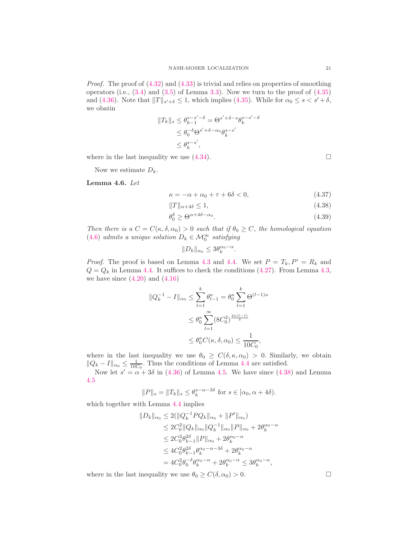*Proof.* The proof of  $(4.32)$  and  $(4.33)$  is trivial and relies on properties of smoothing operators (i.e.,  $(3.4)$  and  $(3.5)$  of Lemma [3.3\)](#page-13-5). Now we turn to the proof of  $(4.35)$ and [\(4.36\)](#page-19-5). Note that  $||T||_{s'+\delta} \leq 1$ , which implies [\(4.35\)](#page-19-4). While for  $\alpha_0 \leq s < s' + \delta$ , we obatin

$$
||T_k||_s \leq \theta_{k-1}^{s-s'-\delta} = \Theta^{s'+\delta-s} \theta_k^{s-s'-\delta}
$$
  

$$
\leq \theta_0^{-\delta} \Theta^{s'+\delta-\alpha_0} \theta_k^{s-s'}
$$
  

$$
\leq \theta_k^{s-s'},
$$

where in the last inequality we use  $(4.34)$ .

Now we estimate  $D_k$ .

<span id="page-20-1"></span>Lemma 4.6. *Let*

$$
\kappa = -\alpha + \alpha_0 + \tau + 6\delta < 0,\tag{4.37}
$$

$$
||T||_{\alpha+4\delta} \le 1,\tag{4.38}
$$

$$
\theta_0^{\delta} \ge \Theta^{\alpha + 4\delta - \alpha_0}.\tag{4.39}
$$

*Then there is a*  $C = C(\kappa, \delta, \alpha_0) > 0$  *such that if*  $\theta_0 \geq C$ *, the homological equation* [\(4.6\)](#page-15-1) *admits a unique solution*  $D_k \in \mathcal{M}_0^{\infty}$  *satisfying* 

$$
||D_k||_{\alpha_0} \le 3\theta_k^{\alpha_0 - \alpha}.
$$

*Proof.* The proof is based on Lemma [4.3](#page-16-3) and [4.4.](#page-18-4) We set  $P = T_k$ ,  $P' = R_k$  and  $Q = Q_k$  in Lemma [4.4.](#page-18-4) It suffices to check the conditions [\(4.27\)](#page-18-2). From Lemma [4.3,](#page-16-3) we have since  $(4.20)$  and  $(4.16)$ 

$$
||Q_k^{-1} - I||_{\alpha_0} \le \sum_{l=1}^k \theta_{l-1}^{\kappa} = \theta_0^{\kappa} \sum_{l=1}^k \Theta^{(l-1)\kappa}
$$
  

$$
\le \theta_0^{\kappa} \sum_{l=1}^{\infty} (8C_0^2)^{\frac{2\kappa(l-1)}{\delta}}
$$
  

$$
\le \theta_0^{\kappa} C(\kappa, \delta, \alpha_0) \le \frac{1}{10C_0},
$$

where in the last inequality we use  $\theta_0 \geq C(\delta, \kappa, \alpha_0) > 0$ . Similarly, we obtain  $||Q_k - I||_{\alpha_0} \le \frac{1}{10C_0}$ . Thus the conditions of Lemma [4.4](#page-18-4) are satisfied.

Now let  $s' = \alpha + 3\delta$  in [\(4.36\)](#page-19-5) of Lemma [4.5.](#page-19-7) We have since [\(4.38\)](#page-20-0) and Lemma [4.5](#page-19-7)

$$
||P||_s = ||T_k||_s \le \theta_k^{s-\alpha-3\delta} \text{ for } s \in [\alpha_0, \alpha + 4\delta).
$$

which together with Lemma [4.4](#page-18-4) implies

$$
||D_k||_{\alpha_0} \le 2(||Q_k^{-1}PQ_k||_{\alpha_0} + ||P'||_{\alpha_0})
$$
  
\n
$$
\le 2C_0^2 ||Q_k||_{\alpha_0} ||Q_k^{-1}||_{\alpha_0} ||P||_{\alpha_0} + 2\theta_k^{\alpha_0 - \alpha}
$$
  
\n
$$
\le 2C_0^2 \theta_{k-1}^{2\delta} ||P||_{\alpha_0} + 2\theta_k^{\alpha_0 - \alpha}
$$
  
\n
$$
\le 4C_0^2 \theta_{k-1}^{2\delta} \theta_k^{\alpha_0 - \alpha - 3\delta} + 2\theta_k^{\alpha_0 - \alpha}
$$
  
\n
$$
= 4C_0^2 \theta_0^{-\delta} \theta_k^{\alpha_0 - \alpha} + 2\theta_k^{\alpha_0 - \alpha} \le 3\theta_k^{\alpha_0 - \alpha},
$$

where in the last inequality we use  $\theta_0 \ge C(\delta, \alpha_0) > 0$ .

<span id="page-20-0"></span>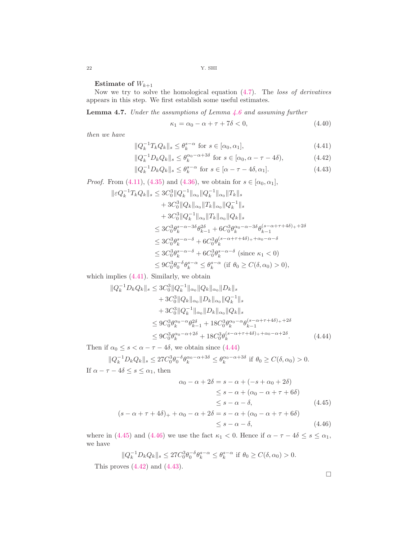Estimate of  $W_{k+1}$ 

Now we try to solve the homological equation [\(4.7\)](#page-15-0). The *loss of derivatives* appears in this step. We first establish some useful estimates.

<span id="page-21-6"></span>Lemma 4.7. *Under the assumptions of Lemma [4.6](#page-20-1) and assuming further*

<span id="page-21-7"></span><span id="page-21-5"></span><span id="page-21-4"></span><span id="page-21-0"></span>
$$
\kappa_1 = \alpha_0 - \alpha + \tau + 7\delta < 0,\tag{4.40}
$$

*then we have*

$$
||Q_k^{-1}T_kQ_k||_s \le \theta_k^{s-\alpha} \text{ for } s \in [\alpha_0, \alpha_1],
$$
\n(4.41)

$$
||Q_k^{-1}D_kQ_k||_s \le \theta_k^{\alpha_0 - \alpha + 3\delta} \text{ for } s \in [\alpha_0, \alpha - \tau - 4\delta), \tag{4.42}
$$

$$
||Q_k^{-1}D_kQ_k||_s \le \theta_k^{s-\alpha} \text{ for } s \in [\alpha - \tau - 4\delta, \alpha_1].
$$
 (4.43)

*Proof.* From [\(4.11\)](#page-15-4), [\(4.35\)](#page-19-4) and [\(4.36\)](#page-19-5), we obtain for  $s \in [\alpha_0, \alpha_1]$ ,

$$
\|\varepsilon Q_k^{-1} T_k Q_k\|_s \le 3C_0^3 \|Q_k^{-1}\|_{\alpha_0} \|Q_k^{-1}\|_{\alpha_0} \|T_k\|_s + 3C_0^3 \|Q_k\|_{\alpha_0} \|T_k\|_{\alpha_0} \|Q_k^{-1}\|_s + 3C_0^3 \|Q_k^{-1}\|_{\alpha_0} \|T_k\|_{\alpha_0} \|Q_k\|_s \le 3C_0^3 \theta_k^{s-\alpha-3\delta} \theta_{k-1}^{2\delta} + 6C_0^3 \theta_k^{\alpha_0-\alpha-3\delta} \theta_{k-1}^{(s-\alpha+\tau+4\delta)+2\delta} \le 3C_0^3 \theta_k^{s-\alpha-\delta} + 6C_0^3 \theta_k^{(s-\alpha+\tau+4\delta)+\alpha_0-\alpha-\delta} \le 3C_0^3 \theta_k^{s-\alpha-\delta} + 6C_0^3 \theta_k^{s-\alpha-\delta} \text{ (since } \kappa_1 < 0) \le 9C_0^3 \theta_0^{-\delta} \theta_k^{s-\alpha} \le \theta_k^{s-\alpha} \text{ (if } \theta_0 \ge C(\delta, \alpha_0) > 0),
$$

which implies  $(4.41)$ . Similarly, we obtain

$$
\|Q_k^{-1}D_kQ_k\|_s \le 3C_0^3 \|Q_k^{-1}\|_{\alpha_0} \|Q_k\|_{\alpha_0} \|D_k\|_s + 3C_0^3 \|Q_k\|_{\alpha_0} \|D_k\|_{\alpha_0} \|Q_k^{-1}\|_s + 3C_0^3 \|Q_k^{-1}\|_{\alpha_0} \|D_k\|_{\alpha_0} \|Q_k\|_s \le 9C_0^3 \theta_k^{\alpha_0-\alpha} \theta_{k-1}^{2\delta} + 18C_0^3 \theta_k^{\alpha_0-\alpha} \theta_{k-1}^{(s-\alpha+\tau+4\delta)+2\delta} \le 9C_0^3 \theta_k^{\alpha_0-\alpha+2\delta} + 18C_0^3 \theta_k^{(s-\alpha+\tau+4\delta)+\alpha_0-\alpha+2\delta}
$$
\n(4.44)

Then if  $\alpha_0 \leq s < \alpha - \tau - 4\delta$ , we obtain since [\(4.44\)](#page-21-1)

$$
||Q_k^{-1}D_kQ_k||_s \le 27C_0^3\theta_0^{-\delta}\theta_k^{\alpha_0-\alpha+3\delta} \le \theta_k^{\alpha_0-\alpha+3\delta} \text{ if } \theta_0 \ge C(\delta, \alpha_0) > 0.
$$
  
If  $\alpha - \tau - 4\delta \le s \le \alpha_1$ , then

$$
\alpha_0 - \alpha + 2\delta = s - \alpha + (-s + \alpha_0 + 2\delta)
$$
  
\n
$$
\leq s - \alpha + (\alpha_0 - \alpha + \tau + 6\delta)
$$
  
\n
$$
\leq s - \alpha - \delta,
$$
  
\n
$$
(s - \alpha + \tau + 4\delta) + \alpha_0 - \alpha + 2\delta = s - \alpha + (\alpha_0 - \alpha + \tau + 6\delta)
$$
  
\n
$$
\leq s - \alpha - \delta,
$$
  
\n
$$
(4.46)
$$

where in [\(4.45\)](#page-21-2) and [\(4.46\)](#page-21-3) we use the fact  $\kappa_1 < 0$ . Hence if  $\alpha - \tau - 4\delta \leq s \leq \alpha_1$ , we have

$$
||Q_k^{-1}D_kQ_k||_s \le 27C_0^3\theta_0^{-\delta}\theta_k^{s-\alpha} \le \theta_k^{s-\alpha} \text{ if } \theta_0 \ge C(\delta,\alpha_0) > 0.
$$

This proves  $(4.42)$  and  $(4.43)$ .

<span id="page-21-3"></span><span id="page-21-2"></span><span id="page-21-1"></span> $\Box$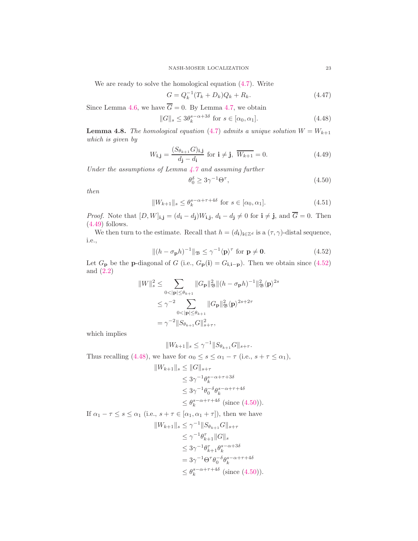We are ready to solve the homological equation [\(4.7\)](#page-15-0). Write

$$
G = Q_k^{-1}(T_k + D_k)Q_k + R_k.
$$
\n(4.47)

Since Lemma [4.6,](#page-20-1) we have  $\overline{G} = 0$ . By Lemma [4.7,](#page-21-6) we obtain

$$
||G||s \le 3\thetaks-\alpha+3\delta \text{ for } s \in [\alpha_0, \alpha_1].
$$
 (4.48)

<span id="page-22-5"></span>**Lemma 4.8.** *The homological equation* [\(4.7\)](#page-15-0) *admits a unique solution*  $W = W_{k+1}$ *which is given by*

$$
W_{\mathbf{i},\mathbf{j}} = \frac{(S_{\theta_{k+1}} G)_{\mathbf{i},\mathbf{j}}}{d_{\mathbf{j}} - d_{\mathbf{i}}} \text{ for } \mathbf{i} \neq \mathbf{j}, \overline{W_{k+1}} = 0.
$$
 (4.49)

*Under the assumptions of Lemma [4.7](#page-21-6) and assuming further*

<span id="page-22-4"></span><span id="page-22-3"></span><span id="page-22-2"></span><span id="page-22-1"></span><span id="page-22-0"></span>
$$
\theta_0^{\delta} \ge 3\gamma^{-1} \Theta^{\tau},\tag{4.50}
$$

*then*

$$
||W_{k+1}||_s \le \theta_k^{s-\alpha+\tau+4\delta} \text{ for } s \in [\alpha_0, \alpha_1]. \tag{4.51}
$$

*Proof.* Note that  $[D, W]_{\mathbf{i}, \mathbf{j}} = (d_{\mathbf{i}} - d_{\mathbf{j}})W_{\mathbf{i}, \mathbf{j}}, d_{\mathbf{i}} - d_{\mathbf{j}} \neq 0$  for  $\mathbf{i} \neq \mathbf{j}$ , and  $G = 0$ . Then [\(4.49\)](#page-22-0) follows.

We then turn to the estimate. Recall that  $h = (d_i)_{i \in \mathbb{Z}^d}$  is a  $(\tau, \gamma)$ -distal sequence, i.e.,

$$
\|(h - \sigma_{\mathbf{p}}h)^{-1}\|_{\mathfrak{B}} \le \gamma^{-1} \langle \mathbf{p} \rangle^{\tau} \text{ for } \mathbf{p} \neq \mathbf{0}.
$$
 (4.52)

Let  $G_{\mathbf{p}}$  be the **p**-diagonal of G (i.e.,  $G_{\mathbf{p}}(\mathbf{i}) = G_{\mathbf{i}, \mathbf{i}-\mathbf{p}}$ ). Then we obtain since [\(4.52\)](#page-22-1) and  $(2.2)$ 

$$
||W||_s^2 \le \sum_{0 < |\mathbf{p}| \le \theta_{k+1}} ||G_{\mathbf{p}}||_{\mathfrak{B}}^2 ||(h - \sigma_{\mathbf{p}}h)^{-1}||_{\mathfrak{B}}^2 \langle \mathbf{p} \rangle^{2s}
$$
\n
$$
\le \gamma^{-2} \sum_{0 < |\mathbf{p}| \le \theta_{k+1}} ||G_{\mathbf{p}}||_{\mathfrak{B}}^2 \langle \mathbf{p} \rangle^{2s+2\tau}
$$
\n
$$
= \gamma^{-2} ||S_{\theta_{k+1}} G||_{s+\tau}^2,
$$

which implies

$$
||W_{k+1}||_s \le \gamma^{-1}||S_{\theta_{k+1}}G||_{s+\tau}.
$$

Thus recalling [\(4.48\)](#page-22-2), we have for  $\alpha_0 \leq s \leq \alpha_1 - \tau$  (i.e.,  $s + \tau \leq \alpha_1$ ),

$$
||W_{k+1}||_s \le ||G||_{s+\tau}
$$
  
\n
$$
\le 3\gamma^{-1}\theta_k^{s-\alpha+\tau+3\delta}
$$
  
\n
$$
\le 3\gamma^{-1}\theta_0^{-\delta}\theta_k^{s-\alpha+\tau+4\delta}
$$
  
\n
$$
\le \theta_k^{s-\alpha+\tau+4\delta} \text{ (since (4.50))}.
$$

If  $\alpha_1 - \tau \leq s \leq \alpha_1$  (i.e.,  $s + \tau \in [\alpha_1, \alpha_1 + \tau]$ ), then we have

$$
||W_{k+1}||_s \le \gamma^{-1}||S_{\theta_{k+1}}G||_{s+\tau}
$$
  
\n
$$
\le \gamma^{-1}\theta_{k+1}^{\tau}||G||_s
$$
  
\n
$$
\le 3\gamma^{-1}\theta_{k+1}^{\tau}\theta_{k}^{s-\alpha+3\delta}
$$
  
\n
$$
= 3\gamma^{-1}\Theta^{\tau}\theta_{0}^{-\delta}\theta_{k}^{s-\alpha+\tau+4\delta}
$$
  
\n
$$
\le \theta_{k}^{s-\alpha+\tau+4\delta} \text{ (since (4.50))}.
$$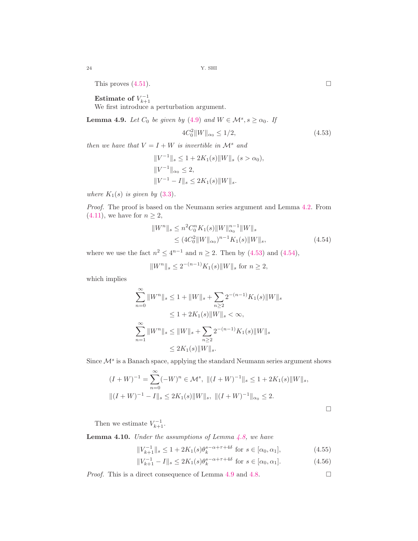This proves  $(4.51)$ .

 $\rm\,Estimate\,\,of\,\,V_{k+1}^{-1}$ 

We first introduce a perturbation argument.

<span id="page-23-2"></span>**Lemma 4.9.** *Let*  $C_0$  *be given by* [\(4.9\)](#page-15-6) *and*  $W \in \mathcal{M}^s, s \ge \alpha_0$ . *If* 

$$
4C_0^2 \|W\|_{\alpha_0} \le 1/2,\tag{4.53}
$$

*then we have that*  $V = I + W$  *is invertible in*  $\mathcal{M}^s$  *and* 

$$
||V^{-1}||_s \le 1 + 2K_1(s)||W||_s \ (s > \alpha_0),
$$
  
\n
$$
||V^{-1}||_{\alpha_0} \le 2,
$$
  
\n
$$
||V^{-1} - I||_s \le 2K_1(s)||W||_s.
$$

*where*  $K_1(s)$  *is given by* [\(3.3\)](#page-12-1).

*Proof.* The proof is based on the Neumann series argument and Lemma [4.2.](#page-15-7) From  $(4.11)$ , we have for  $n \geq 2$ ,

$$
||W^{n}||_{s} \leq n^{2} C_{0}^{n} K_{1}(s) ||W||_{\alpha_{0}}^{n-1} ||W||_{s}
$$
  
\n
$$
\leq (4C_{0}^{2} ||W||_{\alpha_{0}})^{n-1} K_{1}(s) ||W||_{s},
$$
\n(4.54)

where we use the fact  $n^2 \le 4^{n-1}$  and  $n \ge 2$ . Then by [\(4.53\)](#page-23-0) and [\(4.54\)](#page-23-1),

$$
||W^n||_s \le 2^{-(n-1)}K_1(s)||W||_s
$$
 for  $n \ge 2$ ,

which implies

$$
\sum_{n=0}^{\infty} ||W^n||_s \le 1 + ||W||_s + \sum_{n\ge 2} 2^{-(n-1)} K_1(s) ||W||_s
$$
  
\n
$$
\le 1 + 2K_1(s) ||W||_s < \infty,
$$
  
\n
$$
\sum_{n=1}^{\infty} ||W^n||_s \le ||W||_s + \sum_{n\ge 2} 2^{-(n-1)} K_1(s) ||W||_s
$$
  
\n
$$
\le 2K_1(s) ||W||_s.
$$

Since  $\mathcal{M}^s$  is a Banach space, applying the standard Neumann series argument shows

$$
(I + W)^{-1} = \sum_{n=0}^{\infty} (-W)^n \in \mathcal{M}^s, \quad || (I + W)^{-1} ||_s \le 1 + 2K_1(s) ||W||_s,
$$
  

$$
|| (I + W)^{-1} - I ||_s \le 2K_1(s) ||W||_s, \quad || (I + W)^{-1} ||_{\alpha_0} \le 2.
$$

Then we estimate  $V_{k+1}^{-1}$ .

<span id="page-23-3"></span>Lemma 4.10. *Under the assumptions of Lemma [4.8,](#page-22-5) we have*

$$
||V_{k+1}^{-1}||_s \le 1 + 2K_1(s)\theta_k^{s-\alpha+\tau+4\delta} \text{ for } s \in [\alpha_0, \alpha_1],
$$
 (4.55)

$$
||V_{k+1}^{-1} - I||_s \le 2K_1(s)\theta_k^{s-\alpha+\tau+4\delta} \text{ for } s \in [\alpha_0, \alpha_1].
$$
 (4.56)

*Proof.* This is a direct consequence of Lemma [4.9](#page-23-2) and [4.8.](#page-22-5) □

<span id="page-23-1"></span><span id="page-23-0"></span>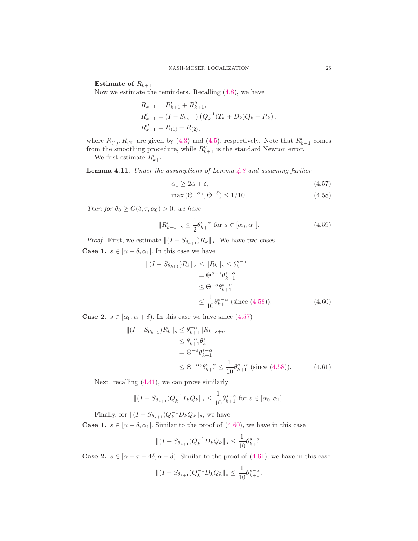Estimate of  $R_{k+1}$ 

Now we estimate the reminders. Recalling [\(4.8\)](#page-15-8), we have

$$
R_{k+1} = R'_{k+1} + R''_{k+1},
$$
  
\n
$$
R'_{k+1} = (I - S_{\theta_{k+1}}) (Q_k^{-1} (T_k + D_k) Q_k + R_k),
$$
  
\n
$$
R''_{k+1} = R_{(1)} + R_{(2)},
$$

where  $R_{(1)}$ ,  $R_{(2)}$  are given by [\(4.3\)](#page-14-1) and [\(4.5\)](#page-15-9), respectively. Note that  $R'_{k+1}$  comes from the smoothing procedure, while  $R''_{k+1}$  is the standard Newton error.

We first estimate  $R'_{k+1}$ .

<span id="page-24-5"></span>Lemma 4.11. *Under the assumptions of Lemma [4.8](#page-22-5) and assuming further*

<span id="page-24-1"></span>
$$
\alpha_1 \ge 2\alpha + \delta,\tag{4.57}
$$

<span id="page-24-4"></span><span id="page-24-0"></span>
$$
\max\left(\Theta^{-\alpha_0}, \Theta^{-\delta}\right) \le 1/10. \tag{4.58}
$$

*Then for*  $\theta_0 \geq C(\delta, \tau, \alpha_0) > 0$ , *we have* 

$$
||R'_{k+1}||_{s} \le \frac{1}{2} \theta_{k+1}^{s-\alpha} \text{ for } s \in [\alpha_0, \alpha_1].
$$
 (4.59)

*Proof.* First, we estimate  $||(I - S_{\theta_{k+1}})R_k||_s$ . We have two cases. **Case 1.**  $s \in [\alpha + \delta, \alpha_1]$ . In this case we have

<span id="page-24-2"></span>
$$
\begin{aligned} \|(I - S_{\theta_{k+1}})R_k\|_s &\le \|R_k\|_s \le \theta_k^{s-\alpha} \\ &= \Theta^{\alpha - s} \theta_{k+1}^{s-\alpha} \\ &\le \Theta^{-\delta} \theta_{k+1}^{s-\alpha} \\ &\le \frac{1}{10} \theta_{k+1}^{s-\alpha} \text{ (since (4.58))}. \end{aligned} \tag{4.60}
$$

**Case 2.**  $s \in [\alpha_0, \alpha + \delta)$ . In this case we have since [\(4.57\)](#page-24-1)

$$
\begin{aligned} || (I - S_{\theta_{k+1}}) R_k ||_s &\le \theta_{k+1}^{-\alpha} ||R_k||_{s+\alpha} \\ &\le \theta_{k+1}^{-\alpha} \theta_k^s \\ &= \Theta^{-s} \theta_{k+1}^{s-\alpha} \\ &\le \Theta^{-\alpha_0} \theta_{k+1}^{s-\alpha} \le \frac{1}{10} \theta_{k+1}^{s-\alpha} \text{ (since (4.58))}. \end{aligned} \tag{4.61}
$$

Next, recalling [\(4.41\)](#page-21-0), we can prove similarly

$$
\|(I - S_{\theta_{k+1}})Q_k^{-1}T_kQ_k\|_s \le \frac{1}{10}\theta_{k+1}^{s-\alpha} \text{ for } s \in [\alpha_0, \alpha_1].
$$

Finally, for  $||(I - S_{\theta_{k+1}})Q_k^{-1}D_kQ_k||_s$ , we have

**Case 1.**  $s \in [\alpha + \delta, \alpha_1]$ . Similar to the proof of [\(4.60\)](#page-24-2), we have in this case

<span id="page-24-3"></span>
$$
||(I - S_{\theta_{k+1}})Q_k^{-1}D_kQ_k||_s \le \frac{1}{10}\theta_{k+1}^{s-\alpha}.
$$

**Case 2.**  $s \in [\alpha - \tau - 4\delta, \alpha + \delta)$ . Similar to the proof of [\(4.61\)](#page-24-3), we have in this case

$$
\|(I - S_{\theta_{k+1}})Q_k^{-1}D_kQ_k\|_s \le \frac{1}{10}\theta_{k+1}^{s-\alpha}.
$$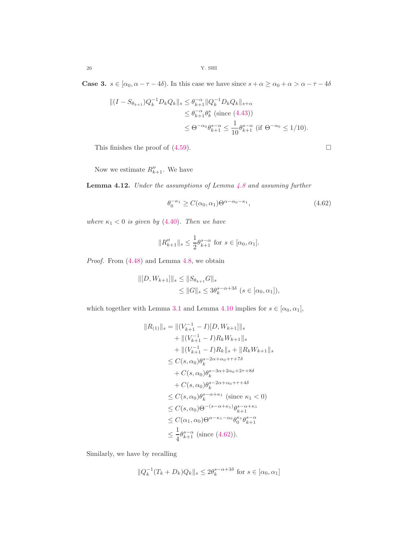**Case 3.**  $s \in [\alpha_0, \alpha - \tau - 4\delta)$ . In this case we have since  $s + \alpha \ge \alpha_0 + \alpha > \alpha - \tau - 4\delta$ 

$$
\begin{aligned} \|(I - S_{\theta_{k+1}})Q_k^{-1}D_k Q_k\|_s &\le \theta_{k+1}^{-\alpha} \|Q_k^{-1}D_k Q_k\|_{s+\alpha} \\ &\le \theta_{k+1}^{-\alpha} \theta_k^s \text{ (since (4.43))} \\ &\le \Theta^{-\alpha_0} \theta_{k+1}^{s-\alpha} \le \frac{1}{10} \theta_{k+1}^{s-\alpha} \text{ (if } \Theta^{-\alpha_0} \le 1/10). \end{aligned}
$$

This finishes the proof of [\(4.59\)](#page-24-4).

Now we estimate  $R''_{k+1}$ . We have

<span id="page-25-1"></span>Lemma 4.12. *Under the assumptions of Lemma [4.8](#page-22-5) and assuming further*

$$
\theta_0^{-\kappa_1} \ge C(\alpha_0, \alpha_1) \Theta^{\alpha - \alpha_0 - \kappa_1},\tag{4.62}
$$

*where*  $\kappa_1 < 0$  *is given by* [\(4.40\)](#page-21-7)*. Then we have* 

$$
||R_{k+1}''||_s \leq \frac{1}{2} \theta_{k+1}^{s-\alpha}
$$
 for  $s \in [\alpha_0, \alpha_1]$ .

*Proof.* From [\(4.48\)](#page-22-2) and Lemma [4.8,](#page-22-5) we obtain

$$
||[D, W_{k+1}]||_s \le ||S_{\theta_{k+1}}G||_s
$$
  
\n
$$
\le ||G||_s \le 3\theta_k^{s-\alpha+3\delta} \ (s \in [\alpha_0, \alpha_1]),
$$

which together with Lemma [3.1](#page-12-3) and Lemma [4.10](#page-23-3) implies for  $s \in [\alpha_0, \alpha_1]$ ,

$$
||R_{(1)}||_{s} = ||(V_{k+1}^{-1} - I)[D, W_{k+1}]||_{s}
$$
  
+  $||(V_{k+1}^{-1} - I)R_{k}W_{k+1}||_{s}$   
+  $||(V_{k+1}^{-1} - I)R_{k}||_{s} + ||R_{k}W_{k+1}||_{s}$   
 $\leq C(s, \alpha_{0})\theta_{k}^{s-2\alpha+\alpha_{0}+\tau+7\delta}$   
+  $C(s, \alpha_{0})\theta_{k}^{s-3\alpha+2\alpha_{0}+2\tau+8\delta}$   
+  $C(s, \alpha_{0})\theta_{k}^{s-2\alpha+\alpha_{0}+\tau+4\delta}$   
 $\leq C(s, \alpha_{0})\theta_{k}^{s-\alpha+\kappa_{1}} \text{ (since } \kappa_{1} < 0)$   
 $\leq C(s, \alpha_{0})\Theta^{-(s-\alpha+\kappa_{1})}\theta_{k+1}^{s-\alpha+\kappa_{1}}$   
 $\leq C(\alpha_{1}, \alpha_{0})\Theta^{\alpha-\kappa_{1}-\alpha_{0}}\theta_{0}^{\kappa_{1}}\theta_{k+1}^{s-\alpha}$   
 $\leq \frac{1}{4}\theta_{k+1}^{s-\alpha} \text{ (since (4.62))}.$ 

Similarly, we have by recalling

$$
||Q_k^{-1}(T_k+D_k)Q_k||_s \le 2\theta_k^{s-\alpha+3\delta} \text{ for } s \in [\alpha_0, \alpha_1]
$$

<span id="page-25-0"></span>
$$
\sqcup
$$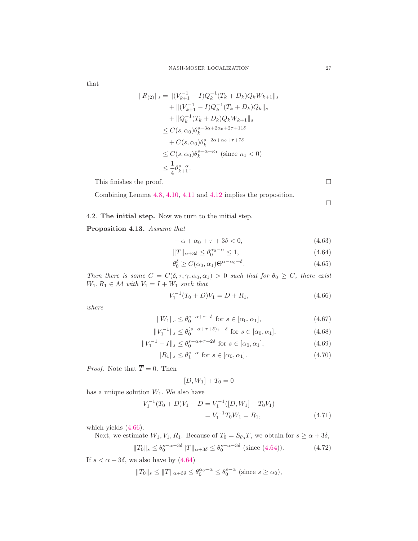that

$$
||R_{(2)}||_s = ||(V_{k+1}^{-1} - I)Q_k^{-1}(T_k + D_k)Q_kW_{k+1}||_s
$$
  
+  $||(V_{k+1}^{-1} - I)Q_k^{-1}(T_k + D_k)Q_k||_s$   
+  $||Q_k^{-1}(T_k + D_k)Q_kW_{k+1}||_s$   
 $\leq C(s, \alpha_0)\theta_k^{s-3\alpha+2\alpha_0+2\tau+11\delta}$   
+  $C(s, \alpha_0)\theta_k^{s-2\alpha+\alpha_0+\tau+7\delta}$   
 $\leq C(s, \alpha_0)\theta_k^{s-\alpha+\kappa_1}$  (since  $\kappa_1 < 0$ )  
 $\leq \frac{1}{4}\theta_{k+1}^{s-\alpha}$ .

This finishes the proof.  $\Box$ 

Combining Lemma [4.8,](#page-22-5) [4.10,](#page-23-3) [4.11](#page-24-5) and [4.12](#page-25-1) implies the proposition.

<span id="page-26-8"></span><span id="page-26-7"></span><span id="page-26-4"></span><span id="page-26-3"></span><span id="page-26-1"></span><span id="page-26-0"></span> $\Box$ 

# 4.2. The initial step. Now we turn to the initial step.

# <span id="page-26-10"></span>Proposition 4.13. *Assume that*

$$
-\alpha + \alpha_0 + \tau + 3\delta < 0,\tag{4.63}
$$

$$
||T||_{\alpha+3\delta} \le \theta_0^{\alpha_0-\alpha} \le 1,\tag{4.64}
$$

$$
\theta_0^{\delta} \ge C(\alpha_0, \alpha_1) \Theta^{\alpha - \alpha_0 + \delta}.
$$
\n(4.65)

*Then there is some*  $C = C(\delta, \tau, \gamma, \alpha_0, \alpha_1) > 0$  *such that for*  $\theta_0 \geq C$ *, there exist*  $W_1, R_1 \in \mathcal{M}$  with  $V_1 = I + W_1$  such that

$$
V_1^{-1}(T_0+D)V_1 = D + R_1, \t\t(4.66)
$$

*where*

$$
||W_1||_s \le \theta_0^{s-\alpha+\tau+\delta} \text{ for } s \in [\alpha_0, \alpha_1], \tag{4.67}
$$

$$
||V_1^{-1}||_s \le \theta_0^{(s-\alpha+\tau+\delta)+\delta} \text{ for } s \in [\alpha_0, \alpha_1],
$$
 (4.68)

$$
||V_1^{-1} - I||_s \le \theta_0^{s - \alpha + \tau + 2\delta} \text{ for } s \in [\alpha_0, \alpha_1],
$$
\n(4.69)

$$
||R_1||_s \le \theta_1^{s-\alpha} \text{ for } s \in [\alpha_0, \alpha_1].
$$
 (4.70)

*Proof.* Note that  $\overline{T} = 0$ . Then

<span id="page-26-9"></span><span id="page-26-6"></span><span id="page-26-5"></span><span id="page-26-2"></span>
$$
[D,W_1]+T_0=0
$$

has a unique solution  $W_1$ . We also have

$$
V_1^{-1}(T_0 + D)V_1 - D = V_1^{-1}([D, W_1] + T_0V_1)
$$
  
=  $V_1^{-1}T_0W_1 = R_1,$  (4.71)

which yields [\(4.66\)](#page-26-0).

Next, we estimate  $W_1, V_1, R_1$ . Because of  $T_0 = S_{\theta_0}T$ , we obtain for  $s \ge \alpha + 3\delta$ ,

$$
||T_0||_s \le \theta_0^{s-\alpha-3\delta} ||T||_{\alpha+3\delta} \le \theta_0^{s-\alpha-3\delta} \text{ (since (4.64))}.
$$
 (4.72)

If  $s < \alpha + 3\delta$ , we also have by  $(4.64)$ 

$$
||T_0||_s \le ||T||_{\alpha+3\delta} \le \theta_0^{\alpha_0-\alpha} \le \theta_0^{s-\alpha}
$$
 (since  $s \ge \alpha_0$ ),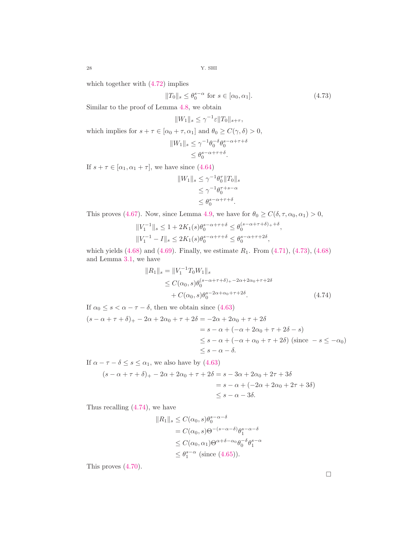which together with [\(4.72\)](#page-26-2) implies

$$
||T_0||_s \le \theta_0^{s-\alpha} \text{ for } s \in [\alpha_0, \alpha_1].
$$
 (4.73)

Similar to the proof of Lemma [4.8,](#page-22-5) we obtain

<span id="page-27-0"></span>
$$
||W_1||_s \le \gamma^{-1} \varepsilon ||T_0||_{s+\tau},
$$

which implies for  $s + \tau \in [\alpha_0 + \tau, \alpha_1]$  and  $\theta_0 \ge C(\gamma, \delta) > 0$ ,

$$
||W_1||_s \le \gamma^{-1} \theta_0^{-\delta} \theta_0^{s-\alpha+\tau+\delta}
$$
  

$$
\le \theta_0^{s-\alpha+\tau+\delta}.
$$

If  $s + \tau \in [\alpha_1, \alpha_1 + \tau]$ , we have since  $(4.64)$ 

$$
||W_1||_s \le \gamma^{-1} \theta_0^{\tau} ||T_0||_s
$$
  
\n
$$
\le \gamma^{-1} \theta_0^{\tau+s-\alpha}
$$
  
\n
$$
\le \theta_0^{s-\alpha+\tau+\delta}.
$$

This proves [\(4.67\)](#page-26-3). Now, since Lemma [4.9,](#page-23-2) we have for  $\theta_0 \ge C(\delta, \tau, \alpha_0, \alpha_1) > 0$ ,

$$
||V_1^{-1}||_s \le 1 + 2K_1(s)\theta_0^{s-\alpha+\tau+\delta} \le \theta_0^{(s-\alpha+\tau+\delta)+\delta},
$$
  

$$
||V_1^{-1} - I||_s \le 2K_1(s)\theta_0^{s-\alpha+\tau+\delta} \le \theta_0^{s-\alpha+\tau+2\delta},
$$

which yields  $(4.68)$  and  $(4.69)$ . Finally, we estimate  $R_1$ . From  $(4.71)$ ,  $(4.73)$ ,  $(4.68)$ and Lemma [3.1,](#page-12-3) we have

<span id="page-27-1"></span>
$$
||R_1||_s = ||V_1^{-1}T_0W_1||_s
$$
  
\n
$$
\leq C(\alpha_0, s)\theta_0^{(s-\alpha+\tau+\delta) + 2\alpha+2\alpha_0+\tau+2\delta}
$$
  
\n
$$
+ C(\alpha_0, s)\theta_0^{s-2\alpha+\alpha_0+\tau+2\delta}.
$$
\n(4.74)

If  $\alpha_0 \leq s < \alpha - \tau - \delta$ , then we obtain since [\(4.63\)](#page-26-7)  $(s - \alpha + \tau + \delta)_{+} - 2\alpha + 2\alpha_{0} + \tau + 2\delta = -2\alpha + 2\alpha_{0} + \tau + 2\delta$  $= s - \alpha + (-\alpha + 2\alpha_0 + \tau + 2\delta - s)$  $\leq s - \alpha + (-\alpha + \alpha_0 + \tau + 2\delta)$  (since  $-s \leq -\alpha_0$ )  $\langle s - \alpha - \delta \rangle$ 

If  $\alpha - \tau - \delta \leq s \leq \alpha_1$ , we also have by [\(4.63\)](#page-26-7)  $(s - \alpha + \tau + \delta)_{+} - 2\alpha + 2\alpha_{0} + \tau + 2\delta = s - 3\alpha + 2\alpha_{0} + 2\tau + 3\delta$  $= s - \alpha + (-2\alpha + 2\alpha_0 + 2\tau + 3\delta)$  $\langle s-\alpha-3\delta\rangle$ 

Thus recalling [\(4.74\)](#page-27-1), we have

$$
||R_1||_s \le C(\alpha_0, s)\theta_0^{s-\alpha-\delta}
$$
  
=  $C(\alpha_0, s)\Theta^{-(s-\alpha-\delta)}\theta_1^{s-\alpha-\delta}$   
 $\le C(\alpha_0, \alpha_1)\Theta^{\alpha+\delta-\alpha_0}\theta_0^{-\delta}\theta_1^{s-\alpha}$   
 $\le \theta_1^{s-\alpha}$  (since (4.65)).

This proves [\(4.70\)](#page-26-9).

 $\Box$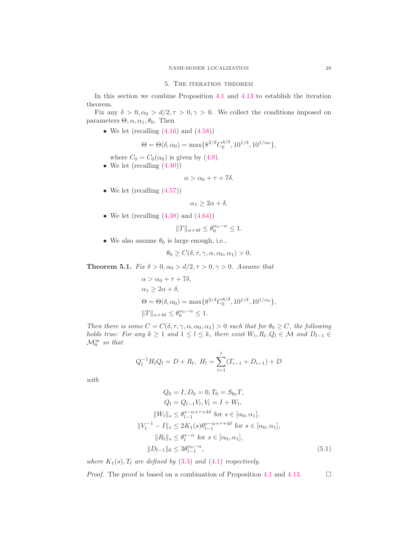### 5. THE ITERATION THEOREM

In this section we combine Proposition [4.1](#page-13-2) and [4.13](#page-26-10) to establish the iteration theorem.

Fix any  $\delta > 0, \alpha_0 > d/2, \tau > 0, \gamma > 0$ . We collect the conditions imposed on parameters  $\Theta$ ,  $\alpha$ ,  $\alpha_1$ ,  $\theta_0$ . Then

• We let (recalling  $(4.16)$  and  $(4.58)$ )

$$
\Theta = \Theta(\delta, \alpha_0) = \max\{8^{2/\delta} C_0^{4/\delta}, 10^{1/\delta}, 10^{1/\alpha_0}\},\
$$

- where  $C_0 = C_0(\alpha_0)$  is given by [\(4.9\)](#page-15-6).
- We let  $(\text{recalling } (4.40))$  $(\text{recalling } (4.40))$  $(\text{recalling } (4.40))$

$$
\alpha > \alpha_0 + \tau + 7\delta.
$$

• We let (recalling  $(4.57)$ )

$$
\alpha_1 \geq 2\alpha + \delta.
$$

• We let (recalling  $(4.38)$  and  $(4.64)$ )

$$
||T||_{\alpha+4\delta} \le \theta_0^{\alpha_0-\alpha} \le 1.
$$

• We also assume  $\theta_0$  is large enough, i.e.,

$$
\theta_0 \ge C(\delta, \tau, \gamma, \alpha, \alpha_0, \alpha_1) > 0.
$$

<span id="page-28-0"></span>**Theorem 5.1.** *Fix*  $\delta > 0, \alpha_0 > d/2, \tau > 0, \gamma > 0$ *. Assume that* 

$$
\alpha > \alpha_0 + \tau + 7\delta,
$$
  
\n
$$
\alpha_1 \ge 2\alpha + \delta,
$$
  
\n
$$
\Theta = \Theta(\delta, \alpha_0) = \max\{8^{2/\delta} C_0^{4/\delta}, 10^{1/\delta}, 10^{1/\alpha_0}\},
$$
  
\n
$$
||T||_{\alpha + 4\delta} \le \theta_0^{\alpha_0 - \alpha} \le 1.
$$

*Then there is some*  $C = C(\delta, \tau, \gamma, \alpha, \alpha_0, \alpha_1) > 0$  *such that for*  $\theta_0 \geq C$ *, the following holds true: For any*  $k \geq 1$  *and*  $1 \leq l \leq k$ , *there exist*  $W_l, R_l, Q_l \in \mathcal{M}$  *and*  $D_{l-1} \in$  $\mathcal{M}_0^{\infty}$  so that

$$
Q_l^{-1}H_lQ_l = D + R_l, \ H_l = \sum_{i=1}^l (T_{i-1} + D_{i-1}) + D
$$

*with*

<span id="page-28-1"></span>
$$
Q_0 = I, D_0 = 0, T_0 = S_{\theta_0} T,
$$
  
\n
$$
Q_l = Q_{l-1} V_l, V_l = I + W_l,
$$
  
\n
$$
||W_l||_s \leq \theta_{l-1}^{s-\alpha+\tau+4\delta} \text{ for } s \in [\alpha_0, \alpha_1],
$$
  
\n
$$
||V_l^{-1} - I||_s \leq 2K_1(s)\theta_{l-1}^{s-\alpha+\tau+4\delta} \text{ for } s \in [\alpha_0, \alpha_1],
$$
  
\n
$$
||R_l||_s \leq \theta_l^{s-\alpha} \text{ for } s \in [\alpha_0, \alpha_1],
$$
  
\n
$$
||D_{l-1}||_0 \leq 3\theta_{l-1}^{\alpha_0-\alpha},
$$
\n(5.1)

*where*  $K_1(s)$ ,  $T_l$  *are defined by* [\(3.3\)](#page-12-1) *and* [\(4.1\)](#page-13-1) *respectively.* 

*Proof.* The proof is based on a combination of Proposition [4.1](#page-13-2) and [4.13.](#page-26-10)  $\Box$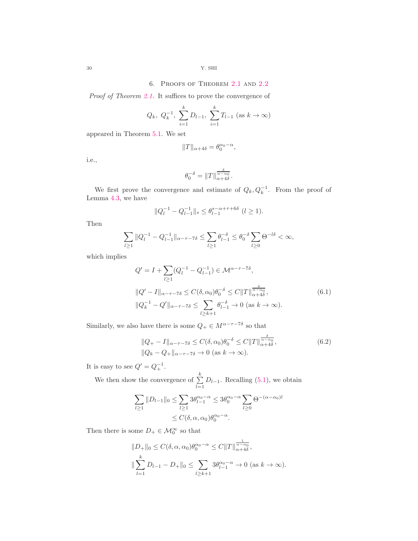6. Proofs of Theorem [2.1](#page-4-1) and [2.2](#page-5-1)

*Proof of Theorem [2.1.](#page-4-1)* It suffices to prove the convergence of

$$
Q_k
$$
,  $Q_k^{-1}$ ,  $\sum_{i=1}^k D_{l-1}$ ,  $\sum_{i=1}^k T_{l-1}$  (as  $k \to \infty$ )

appeared in Theorem [5.1.](#page-28-0) We set

$$
||T||_{\alpha+4\delta}=\theta_0^{\alpha_0-\alpha},
$$

i.e.,

<span id="page-29-0"></span>
$$
\theta_0^{-\delta} = \|T\|_{\alpha+4\delta}^{\frac{\delta}{\alpha-\alpha_0}}.
$$

We first prove the convergence and estimate of  $Q_k, Q_k^{-1}$ . From the proof of Lemma [4.3,](#page-16-3) we have

$$
||Q_l^{-1} - Q_{l-1}^{-1}||_s \le \theta_{l-1}^{s-\alpha+\tau+6\delta} \ (l \ge 1).
$$

Then

$$
\sum_{l\geq 1} \|Q_l^{-1} - Q_{l-1}^{-1}\|_{\alpha-\tau-7\delta} \leq \sum_{l\geq 1} \theta_{l-1}^{-\delta} \leq \theta_0^{-\delta} \sum_{l\geq 0} \Theta^{-l\delta} < \infty,
$$

which implies

$$
Q' = I + \sum_{l \ge 1} (Q_l^{-1} - Q_{l-1}^{-1}) \in \mathcal{M}^{\alpha - \tau - 7\delta},
$$
  

$$
||Q' - I||_{\alpha - \tau - 7\delta} \le C(\delta, \alpha_0) \theta_0^{-\delta} \le C ||T||_{\alpha + 4\delta}^{\frac{\delta}{\alpha - \alpha_0}},
$$
  

$$
||Q_k^{-1} - Q'||_{\alpha - \tau - 7\delta} \le \sum_{l \ge k+1} \theta_{l-1}^{-\delta} \to 0 \text{ (as } k \to \infty).
$$
 (6.1)

Similarly, we also have there is some  $Q_+ \in M^{\alpha - \tau - 7\delta}$  so that

<span id="page-29-1"></span>
$$
||Q_{+} - I||_{\alpha - \tau - 7\delta} \le C(\delta, \alpha_0) \theta_0^{-\delta} \le C||T||_{\alpha + 4\delta}^{\frac{\delta}{\alpha - \alpha_0}},
$$
  
 
$$
||Q_k - Q_+||_{\alpha - \tau - 7\delta} \to 0 \text{ (as } k \to \infty).
$$
 (6.2)

It is easy to see  $Q' = Q_+^{-1}$ .

We then show the convergence of  $\sum_{k=1}^{k}$  $\sum_{l=1} D_{l-1}$ . Recalling [\(5.1\)](#page-28-1), we obtain

$$
\sum_{l\geq 1} \|D_{l-1}\|_0 \leq \sum_{l\geq 1} 3\theta_{l-1}^{\alpha_0-\alpha} \leq 3\theta_0^{\alpha_0-\alpha} \sum_{l\geq 0} \Theta^{-(\alpha-\alpha_0)l}
$$
  

$$
\leq C(\delta, \alpha, \alpha_0) \theta_0^{\alpha_0-\alpha}.
$$

Then there is some  $D_+ \in \mathcal{M}_0^{\infty}$  so that

$$
||D+||_0 \leq C(\delta, \alpha, \alpha_0) \theta_0^{\alpha_0-\alpha} \leq C ||T||_{\alpha+4\delta}^{\frac{1}{\alpha-\alpha_0}},
$$
  

$$
||\sum_{l=1}^k D_{l-1} - D_+||_0 \leq \sum_{l \geq k+1} 3\theta_{l-1}^{\alpha_0-\alpha} \to 0 \text{ (as } k \to \infty).
$$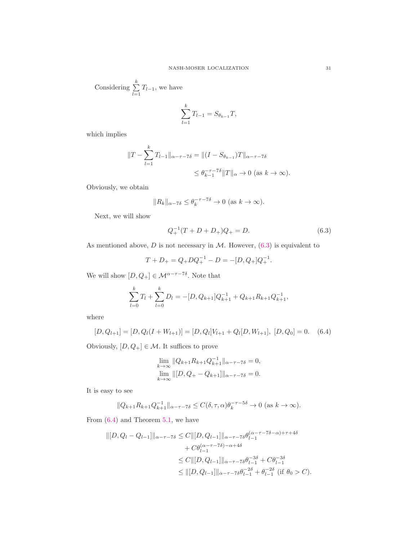Considering 
$$
\sum_{l=1}^{k} T_{l-1}
$$
, we have

$$
\sum_{l=1}^{k} T_{l-1} = S_{\theta_{k-1}} T,
$$

which implies

$$
||T - \sum_{l=1}^{k} T_{l-1}||_{\alpha - \tau - 7\delta} = ||(I - S_{\theta_{k-1}})T||_{\alpha - \tau - 7\delta}
$$
  

$$
\leq \theta_{k-1}^{-\tau - 7\delta} ||T||_{\alpha} \to 0 \text{ (as } k \to \infty).
$$

Obviously, we obtain

$$
||R_k||_{\alpha - 7\delta} \le \theta_k^{-\tau - 7\delta} \to 0 \text{ (as } k \to \infty).
$$

Next, we will show

<span id="page-30-0"></span>
$$
Q_{+}^{-1}(T+D+D_{+})Q_{+} = D.
$$
\n(6.3)

As mentioned above,  $D$  is not necessary in  $M$ . However,  $(6.3)$  is equivalent to

$$
T + D_+ = Q_+ D Q_+^{-1} - D = -[D, Q_+] Q_+^{-1}.
$$

We will show  $[D, Q_+] \in \mathcal{M}^{\alpha - \tau - 7\delta}$ . Note that

$$
\sum_{l=0}^{k} T_l + \sum_{l=0}^{k} D_l = -[D, Q_{k+1}]Q_{k+1}^{-1} + Q_{k+1}R_{k+1}Q_{k+1}^{-1},
$$

where

$$
[D, Q_{l+1}] = [D, Q_l(I + W_{l+1})] = [D, Q_l]V_{l+1} + Q_l[D, W_{l+1}], [D, Q_0] = 0. \quad (6.4)
$$

Obviously,  $[D,Q_+] \in \mathcal{M}.$  It suffices to prove

<span id="page-30-1"></span>
$$
\lim_{k \to \infty} ||Q_{k+1} R_{k+1} Q_{k+1}^{-1}||_{\alpha - \tau - 7\delta} = 0,
$$
  

$$
\lim_{k \to \infty} ||[D, Q_{+} - Q_{k+1}]||_{\alpha - \tau - 7\delta} = 0.
$$

It is easy to see

$$
||Q_{k+1}R_{k+1}Q_{k+1}^{-1}||_{\alpha-\tau-\tau\delta} \leq C(\delta,\tau,\alpha)\theta_k^{-\tau-\delta\delta} \to 0 \text{ (as } k \to \infty).
$$

From  $(6.4)$  and Theorem [5.1,](#page-28-0) we have

$$
\begin{aligned} ||[D, Q_l - Q_{l-1}]||_{\alpha - \tau - 7\delta} &\le C ||[D, Q_{l-1}]||_{\alpha - \tau - 7\delta} \theta_{l-1}^{(\alpha - \tau - 7\delta - \alpha) + \tau + 4\delta} \\ &+ C \theta_{l-1}^{(\alpha - \tau - 7\delta) - \alpha + 4\delta} \\ &\le C ||[D, Q_{l-1}]||_{\alpha - \tau - 7\delta} \theta_{l-1}^{-3\delta} + C \theta_{l-1}^{-3\delta} \\ &\le ||[D, Q_{l-1}]||_{\alpha - \tau - 7\delta} \theta_{l-1}^{-2\delta} + \theta_{l-1}^{-2\delta} \text{ (if } \theta_0 > C). \end{aligned}
$$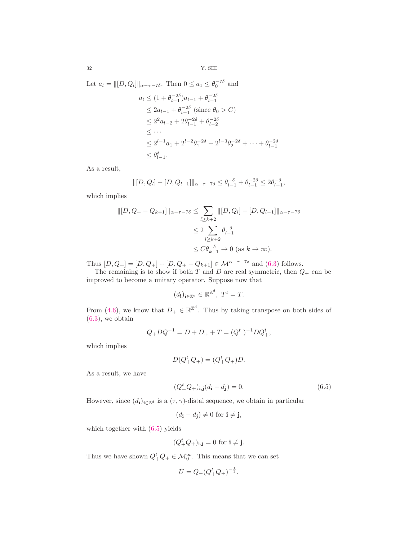Let 
$$
a_l = ||[D, Q_l]||_{\alpha - \tau - 7\delta}
$$
. Then  $0 \le a_1 \le \theta_0^{-7\delta}$  and  
\n
$$
a_l \le (1 + \theta_{l-1}^{-2\delta})a_{l-1} + \theta_{l-1}^{-2\delta}
$$
\n
$$
\le 2a_{l-1} + \theta_{l-1}^{-2\delta} \text{ (since } \theta_0 > C)
$$
\n
$$
\le 2^2a_{l-2} + 2\theta_{l-1}^{-2\delta} + \theta_{l-2}^{-2\delta}
$$
\n
$$
\le \cdots
$$
\n
$$
\le 2^{l-1}a_1 + 2^{l-2}\theta_1^{-2\delta} + 2^{l-3}\theta_2^{-2\delta} + \cdots + \theta_{l-1}^{-2\delta}
$$
\n
$$
\le \theta_{l-1}^{\delta}.
$$

As a result,

$$
\| [D, Q_l] - [D, Q_{l-1}] \|_{\alpha - \tau - 7\delta} \le \theta_{l-1}^{-\delta} + \theta_{l-1}^{-2\delta} \le 2\theta_{l-1}^{-\delta},
$$

which implies

$$
\| [D, Q_{+} - Q_{k+1}] \|_{\alpha - \tau - 7\delta} \leq \sum_{l \geq k+2} \| [D, Q_{l}] - [D, Q_{l-1}] \|_{\alpha - \tau - 7\delta}
$$
  

$$
\leq 2 \sum_{l \geq k+2} \theta_{l-1}^{-\delta}
$$
  

$$
\leq C \theta_{k+1}^{-\delta} \to 0 \text{ (as } k \to \infty).
$$

Thus  $[D, Q_+] = [D, Q_+] + [D, Q_+ - Q_{k+1}] \in \mathcal{M}^{\alpha - \tau - 7\delta}$  and [\(6.3\)](#page-30-0) follows.

The remaining is to show if both T and D are real symmetric, then  $Q_+$  can be improved to become a unitary operator. Suppose now that

$$
(d_{\mathbf{i}})_{\mathbf{i}\in\mathbb{Z}^d}\in\mathbb{R}^{\mathbb{Z}^d},\ T^t=T.
$$

From [\(4.6\)](#page-15-1), we know that  $D_+ \in \mathbb{R}^{\mathbb{Z}^d}$ . Thus by taking transpose on both sides of  $(6.3)$ , we obtain

$$
Q_+ D Q_+^{-1} = D + D_+ + T = (Q_+^t)^{-1} D Q_+^t,
$$

which implies

$$
D(Q_+^t Q_+) = (Q_+^t Q_+) D.
$$

As a result, we have

<span id="page-31-0"></span>
$$
(Q_{+}^{t}Q_{+})_{i,j}(d_{i}-d_{j})=0.
$$
\n(6.5)

However, since  $(d_i)_{i\in\mathbb{Z}^d}$  is a  $(\tau,\gamma)$ -distal sequence, we obtain in particular

$$
(d_{\mathbf{i}} - d_{\mathbf{j}}) \neq 0 \text{ for } \mathbf{i} \neq \mathbf{j},
$$

which together with [\(6.5\)](#page-31-0) yields

$$
(Q_+^t Q_+)_{{\bf i},{\bf j}} = 0 \text{ for } {\bf i} \neq {\bf j}.
$$

Thus we have shown  $Q_+^t Q_+ \in \mathcal{M}_0^{\infty}$ . This means that we can set

$$
U = Q_{+} (Q_{+}^{t} Q_{+})^{-\frac{1}{2}}.
$$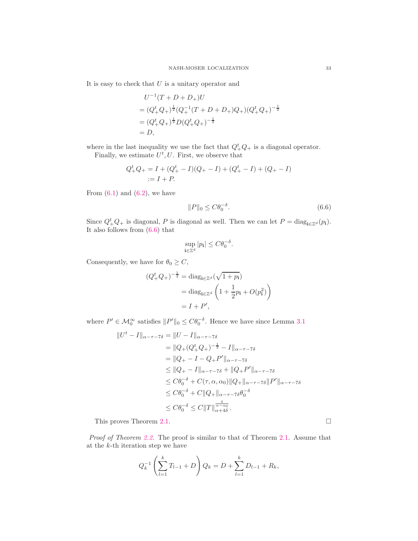It is easy to check that  $U$  is a unitary operator and

$$
U^{-1}(T+D+D_+)U
$$
  
=  $(Q_+^t Q_+)^{\frac{1}{2}} (Q_+^{-1}(T+D+D_+)Q_+)(Q_+^t Q_+)^{-\frac{1}{2}}$   
=  $(Q_+^t Q_+)^{\frac{1}{2}} D(Q_+^t Q_+)^{-\frac{1}{2}}$   
=  $D$ ,

where in the last inequality we use the fact that  $Q_{+}^{t}Q_{+}$  is a diagonal operator. Finally, we estimate  $U^t, U$ . First, we observe that

$$
Q_+^t Q_+ = I + (Q_+^t - I)(Q_+ - I) + (Q_+^t - I) + (Q_+ - I)
$$
  
 := I + P.

From  $(6.1)$  and  $(6.2)$ , we have

<span id="page-32-0"></span>
$$
||P||_0 \le C\theta_0^{-\delta}.\tag{6.6}
$$

Since  $Q^t_+Q_+$  is diagonal, P is diagonal as well. Then we can let  $P = \text{diag}_{i \in \mathbb{Z}^d}(p_i)$ . It also follows from [\(6.6\)](#page-32-0) that

$$
\sup_{\mathbf{i}\in\mathbb{Z}^d} |p_{\mathbf{i}}| \leq C\theta_0^{-\delta}.
$$

Consequently, we have for  $\theta_0 \geq C,$ 

$$
(Q_{+}^{t}Q_{+})^{-\frac{1}{2}} = \text{diag}_{i \in \mathbb{Z}^{d}}(\sqrt{1+p_{i}})
$$

$$
= \text{diag}_{i \in \mathbb{Z}^{d}}\left(1 + \frac{1}{2}p_{i} + O(p_{i}^{2})\right)
$$

$$
= I + P',
$$

where  $P' \in \mathcal{M}_0^{\infty}$  satisfies  $||P'||_0 \leq C \theta_0^{-\delta}$ . Hence we have since Lemma [3.1](#page-12-3)

$$
||U^{t} - I||_{\alpha - \tau - 7\delta} = ||U - I||_{\alpha - \tau - 7\delta}
$$
  
=  $||Q_{+}(Q_{+}^{t}Q_{+})^{-\frac{1}{2}} - I||_{\alpha - \tau - 7\delta}$   
=  $||Q_{+} - I - Q_{+}P'||_{\alpha - \tau - 7\delta}$   
 $\leq ||Q_{+} - I||_{\alpha - \tau - 7\delta} + ||Q_{+}P'||_{\alpha - \tau - 7\delta}$   
 $\leq C\theta_{0}^{-\delta} + C(\tau, \alpha, \alpha_{0})||Q_{+}||_{\alpha - \tau - 7\delta}||P'||_{\alpha - \tau - 7\delta}$   
 $\leq C\theta_{0}^{-\delta} + C||Q_{+}||_{\alpha - \tau - 7\delta}\theta_{0}^{-\delta}$   
 $\leq C\theta_{0}^{-\delta} \leq C||T||_{\alpha + 4\delta}^{\frac{\delta}{\alpha - \alpha_{0}}}.$ 

This proves Theorem [2.1.](#page-4-1)

*Proof of Theorem [2.2.](#page-5-1)* The proof is similar to that of Theorem [2.1.](#page-4-1) Assume that at the k-th iteration step we have

$$
Q_k^{-1} \left( \sum_{l=1}^k T_{l-1} + D \right) Q_k = D + \sum_{l=1}^k D_{l-1} + R_k,
$$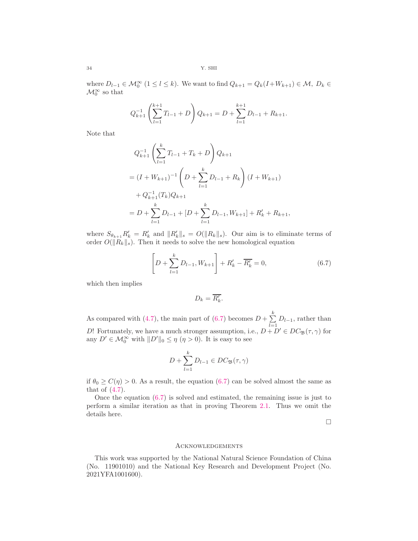where  $D_{l-1} \in \mathcal{M}_0^{\infty}$   $(1 \leq l \leq k)$ . We want to find  $Q_{k+1} = Q_k(I+W_{k+1}) \in \mathcal{M}, D_k \in$  $\mathcal{M}_0^{\infty}$  so that

$$
Q_{k+1}^{-1} \left( \sum_{l=1}^{k+1} T_{l-1} + D \right) Q_{k+1} = D + \sum_{l=1}^{k+1} D_{l-1} + R_{k+1}.
$$

Note that

$$
Q_{k+1}^{-1} \left( \sum_{l=1}^{k} T_{l-1} + T_k + D \right) Q_{k+1}
$$
  
=  $(I + W_{k+1})^{-1} \left( D + \sum_{l=1}^{k} D_{l-1} + R_k \right) (I + W_{k+1})$   
+  $Q_{k+1}^{-1} (T_k) Q_{k+1}$   
=  $D + \sum_{l=1}^{k} D_{l-1} + [D + \sum_{l=1}^{k} D_{l-1}, W_{k+1}] + R'_k + R_{k+1},$ 

where  $S_{\theta_{k+1}} R'_{k} = R'_{k}$  and  $||R'_{k}||_{s} = O(||R_{k}||_{s})$ . Our aim is to eliminate terms of order  $O(||R_k||_s)$ . Then it needs to solve the new homological equation

$$
\left[D + \sum_{l=1}^{k} D_{l-1}, W_{k+1}\right] + R'_{k} - \overline{R'_{k}} = 0, \tag{6.7}
$$

which then implies

<span id="page-33-0"></span>
$$
D_k = \overline{R'_k}.
$$

As compared with [\(4.7\)](#page-15-0), the main part of [\(6.7\)](#page-33-0) becomes  $D + \sum_{k=1}^{k}$  $\sum_{l=1} D_{l-1}$ , rather than D! Fortunately, we have a much stronger assumption, i.e.,  $D + D' \in DC_{\mathfrak{B}}(\tau, \gamma)$  for any  $D' \in \mathcal{M}_0^{\infty}$  with  $||D'||_0 \leq \eta$   $(\eta > 0)$ . It is easy to see

$$
D + \sum_{l=1}^{k} D_{l-1} \in DC_{\mathfrak{B}}(\tau, \gamma)
$$

if  $\theta_0 \geq C(\eta) > 0$ . As a result, the equation [\(6.7\)](#page-33-0) can be solved almost the same as that of  $(4.7)$ .

Once the equation  $(6.7)$  is solved and estimated, the remaining issue is just to perform a similar iteration as that in proving Theorem [2.1.](#page-4-1) Thus we omit the details here.

 $\Box$ 

## Acknowledgements

This work was supported by the National Natural Science Foundation of China (No. 11901010) and the National Key Research and Development Project (No. 2021YFA1001600).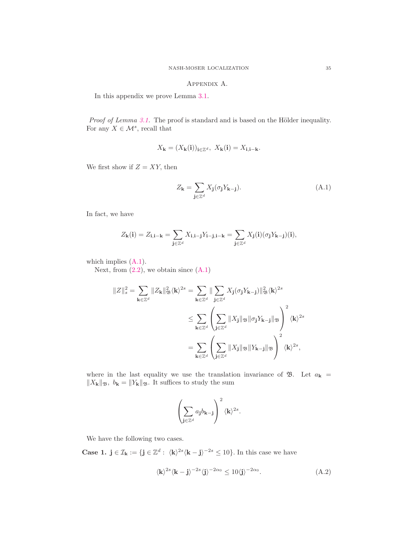# Appendix A.

In this appendix we prove Lemma [3.1.](#page-12-3)

*Proof of Lemma [3.1.](#page-12-3)* The proof is standard and is based on the Hölder inequality. For any  $X \in \mathcal{M}^s$ , recall that

$$
X_{\mathbf{k}} = (X_{\mathbf{k}}(\mathbf{i}))_{\mathbf{i} \in \mathbb{Z}^d}, \ X_{\mathbf{k}}(\mathbf{i}) = X_{\mathbf{i}, \mathbf{i} - \mathbf{k}}.
$$

We first show if  $Z = XY$ , then

<span id="page-34-0"></span>
$$
Z_{\mathbf{k}} = \sum_{\mathbf{j} \in \mathbb{Z}^d} X_{\mathbf{j}} (\sigma_{\mathbf{j}} Y_{\mathbf{k} - \mathbf{j}}). \tag{A.1}
$$

In fact, we have

$$
Z_{\mathbf{k}}(\mathbf{i}) = Z_{\mathbf{i}, \mathbf{i} - \mathbf{k}} = \sum_{\mathbf{j} \in \mathbb{Z}^d} X_{\mathbf{i}, \mathbf{i} - \mathbf{j}} Y_{\mathbf{i} - \mathbf{j}, \mathbf{i} - \mathbf{k}} = \sum_{\mathbf{j} \in \mathbb{Z}^d} X_{\mathbf{j}}(\mathbf{i}) (\sigma_{\mathbf{j}} Y_{\mathbf{k} - \mathbf{j}})(\mathbf{i}),
$$

which implies  $(A.1)$ .

Next, from  $(2.2)$ , we obtain since  $(A.1)$ 

$$
||Z||_s^2 = \sum_{\mathbf{k}\in\mathbb{Z}^d} ||Z_{\mathbf{k}}||_{\mathfrak{B}}^2 \langle \mathbf{k}\rangle^{2s} = \sum_{\mathbf{k}\in\mathbb{Z}^d} ||\sum_{\mathbf{j}\in\mathbb{Z}^d} X_{\mathbf{j}}(\sigma_{\mathbf{j}}Y_{\mathbf{k}-\mathbf{j}})||_{\mathfrak{B}}^2 \langle \mathbf{k}\rangle^{2s}
$$
  

$$
\leq \sum_{\mathbf{k}\in\mathbb{Z}^d} \left(\sum_{\mathbf{j}\in\mathbb{Z}^d} ||X_{\mathbf{j}}||_{\mathfrak{B}} ||\sigma_{\mathbf{j}}Y_{\mathbf{k}-\mathbf{j}}||_{\mathfrak{B}}\right)^2 \langle \mathbf{k}\rangle^{2s}
$$
  

$$
= \sum_{\mathbf{k}\in\mathbb{Z}^d} \left(\sum_{\mathbf{j}\in\mathbb{Z}^d} ||X_{\mathbf{j}}||_{\mathfrak{B}} ||Y_{\mathbf{k}-\mathbf{j}}||_{\mathfrak{B}}\right)^2 \langle \mathbf{k}\rangle^{2s},
$$

where in the last equality we use the translation invariance of  $\mathfrak{B}$ . Let  $a_{\mathbf{k}} =$  $\|X_{\mathbf{k}}\|_{\mathfrak{B}},\ b_{\mathbf{k}}=\|Y_{\mathbf{k}}\|_{\mathfrak{B}}.$  It suffices to study the sum

<span id="page-34-1"></span>
$$
\left(\sum_{\mathbf{j}\in\mathbb{Z}^d}a_\mathbf{j}b_{\mathbf{k}-\mathbf{j}}\right)^2\langle\mathbf{k}\rangle^{2s}.
$$

We have the following two cases.

**Case 1.**  $\mathbf{j} \in \mathcal{I}_{\mathbf{k}} := \{ \mathbf{j} \in \mathbb{Z}^d : \langle \mathbf{k} \rangle^{2s} \langle \mathbf{k} - \mathbf{j} \rangle^{-2s} \leq 10 \}.$  In this case we have

$$
\langle \mathbf{k} \rangle^{2s} \langle \mathbf{k} - \mathbf{j} \rangle^{-2s} \langle \mathbf{j} \rangle^{-2\alpha_0} \le 10 \langle \mathbf{j} \rangle^{-2\alpha_0}.
$$
 (A.2)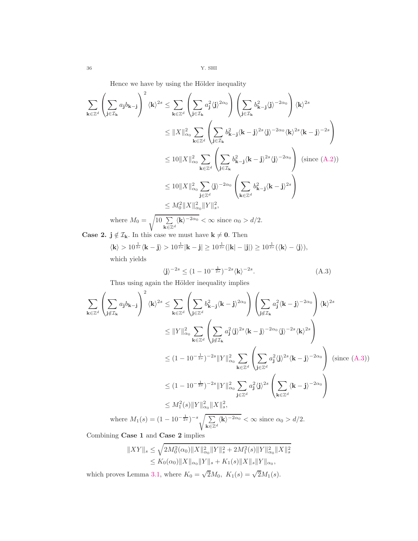Hence we have by using the Hölder inequality

$$
\sum_{\mathbf{k}\in\mathbb{Z}^d} \left(\sum_{\mathbf{j}\in\mathcal{I}_{\mathbf{k}}} a_{\mathbf{j}} b_{\mathbf{k}-\mathbf{j}}\right)^2 \langle \mathbf{k}\rangle^{2s} \leq \sum_{\mathbf{k}\in\mathbb{Z}^d} \left(\sum_{\mathbf{j}\in\mathcal{I}_{\mathbf{k}}} a_{\mathbf{j}}^2 \langle \mathbf{j}\rangle^{2\alpha_0}\right) \left(\sum_{\mathbf{j}\in\mathcal{I}_{\mathbf{k}}} b_{\mathbf{k}-\mathbf{j}}^2 \langle \mathbf{j}\rangle^{-2\alpha_0}\right) \langle \mathbf{k}\rangle^{2s}
$$
  

$$
\leq ||X||_{\alpha_0}^2 \sum_{\mathbf{k}\in\mathbb{Z}^d} \left(\sum_{\mathbf{j}\in\mathcal{I}_{\mathbf{k}}} b_{\mathbf{k}-\mathbf{j}}^2 \langle \mathbf{j}\rangle^{-2\alpha_0} \langle \mathbf{k}\rangle^{2s} \langle \mathbf{k}-\mathbf{j}\rangle^{-2s}\right)
$$
  

$$
\leq 10||X||_{\alpha_0}^2 \sum_{\mathbf{k}\in\mathbb{Z}^d} \left(\sum_{\mathbf{j}\in\mathcal{I}_{\mathbf{k}}} b_{\mathbf{k}-\mathbf{j}}^2 \langle \mathbf{j}\rangle^{-2\alpha_0} \right) \text{ (since (A.2))}
$$
  

$$
\leq 10||X||_{\alpha_0}^2 \sum_{\mathbf{j}\in\mathbb{Z}^d} \langle \mathbf{j}\rangle^{-2\alpha_0} \left(\sum_{\mathbf{k}\in\mathbb{Z}^d} b_{\mathbf{k}-\mathbf{j}}^2 \langle \mathbf{k}-\mathbf{j}\rangle^{2s}\right) \langle \mathbf{k}\rangle^{2s}
$$
  

$$
\leq M_0^2||X||_{\alpha_0}^2||Y||_s^2,
$$

where  $M_0 = \sqrt{10 \sum_{n=1}^{\infty}$  $\sum_{\mathbf{k}\in\mathbb{Z}^d} \langle \mathbf{k} \rangle^{-2\alpha_0} < \infty$  since  $\alpha_0 > d/2$ .

**Case 2.**  $j \notin \mathcal{I}_k$ . In this case we must have  $k \neq 0$ . Then

 $\langle \mathbf{k} \rangle > 10^{\frac{1}{2s}} \langle \mathbf{k} - \mathbf{j} \rangle > 10^{\frac{1}{2s}} |\mathbf{k} - \mathbf{j}| \geq 10^{\frac{1}{2s}} (|\mathbf{k}| - |\mathbf{j}|) \geq 10^{\frac{1}{2s}} (\langle \mathbf{k} \rangle - \langle \mathbf{j} \rangle),$ which yields

<span id="page-35-0"></span>
$$
\langle \mathbf{j} \rangle^{-2s} \le (1 - 10^{-\frac{1}{2s}})^{-2s} \langle \mathbf{k} \rangle^{-2s}.
$$
 (A.3)

Thus using again the Hölder inequality implies

$$
\sum_{\mathbf{k}\in\mathbb{Z}^d} \left(\sum_{\mathbf{j}\notin\mathcal{I}_{\mathbf{k}}} a_{\mathbf{j}} b_{\mathbf{k}-\mathbf{j}}\right)^2 \langle \mathbf{k}\rangle^{2s} \leq \sum_{\mathbf{k}\in\mathbb{Z}^d} \left(\sum_{\mathbf{j}\in\mathbb{Z}^d} b_{\mathbf{k}-\mathbf{j}}^2 \langle \mathbf{k}-\mathbf{j}\rangle^{2\alpha_0}\right) \left(\sum_{\mathbf{j}\notin\mathcal{I}_{\mathbf{k}}} a_{\mathbf{j}}^2 \langle \mathbf{k}-\mathbf{j}\rangle^{-2\alpha_0}\right) \langle \mathbf{k}\rangle^{2s}
$$
\n
$$
\leq ||Y||_{\alpha_0}^2 \sum_{\mathbf{k}\in\mathbb{Z}^d} \left(\sum_{\mathbf{j}\notin\mathcal{I}_{\mathbf{k}}} a_{\mathbf{j}}^2 \langle \mathbf{j}\rangle^{2s} \langle \mathbf{k}-\mathbf{j}\rangle^{-2\alpha_0} \langle \mathbf{j}\rangle^{-2s} \langle \mathbf{k}\rangle^{2s}\right)
$$
\n
$$
\leq (1-10^{-\frac{1}{2s}})^{-2s} ||Y||_{\alpha_0}^2 \sum_{\mathbf{k}\in\mathbb{Z}^d} \left(\sum_{\mathbf{j}\in\mathbb{Z}^d} a_{\mathbf{j}}^2 \langle \mathbf{j}\rangle^{2s} \langle \mathbf{k}-\mathbf{j}\rangle^{-2\alpha_0}\right) \text{ (since (A.3))}
$$
\n
$$
\leq (1-10^{-\frac{1}{2s}})^{-2s} ||Y||_{\alpha_0}^2 \sum_{\mathbf{j}\in\mathbb{Z}^d} a_{\mathbf{j}}^2 \langle \mathbf{j}\rangle^{2s} \left(\sum_{\mathbf{k}\in\mathbb{Z}^d} \langle \mathbf{k}-\mathbf{j}\rangle^{-2\alpha_0}\right)
$$
\n
$$
\leq M_1^2(s) ||Y||_{\alpha_0}^2 ||X||_s^2,
$$
\nwhere  $M_1(s) = (1-10^{-\frac{1}{2s}})^{-s} \sqrt{\sum_{\mathbf{k}\in\mathbb{Z}^d} \langle \mathbf{k}\rangle^{-2\alpha_0}} < \infty$  since  $\alpha_0 > d/2$ .

Combining Case 1 and Case 2 implies

$$
||XY||_s \le \sqrt{2M_0^2(\alpha_0)} ||X||_{\alpha_0}^2 ||Y||_s^2 + 2M_1^2(s)||Y||_{\alpha_0}^2 ||X||_s^2
$$
  

$$
\le K_0(\alpha_0) ||X||_{\alpha_0} ||Y||_s + K_1(s)||X||_s ||Y||_{\alpha_0},
$$

which proves Lemma [3.1,](#page-12-3) where  $K_0 = \sqrt{2}M_0$ ,  $K_1(s) = \sqrt{2}M_1(s)$ .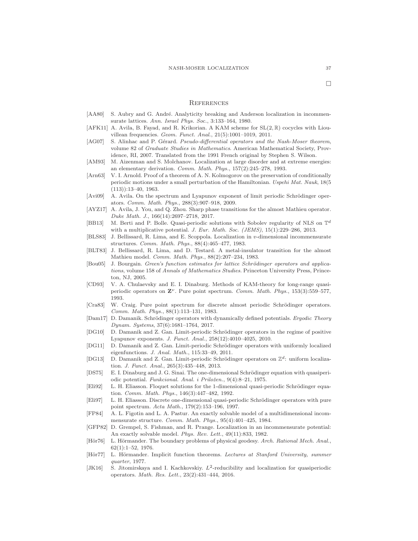- <span id="page-36-10"></span>[AA80] S. Aubry and G. André. Analyticity breaking and Anderson localization in incommensurate lattices. Ann. Israel Phys. Soc., 3:133–164, 1980.
- <span id="page-36-9"></span>[AFK11] A. Avila, B. Fayad, and R. Krikorian. A KAM scheme for  $SL(2,\mathbb{R})$  cocycles with Liouvillean frequencies. Geom. Funct. Anal., 21(5):1001–1019, 2011.
- <span id="page-36-17"></span>[AG07] S. Alinhac and P. Gérard. Pseudo-differential operators and the Nash-Moser theorem, volume 82 of Graduate Studies in Mathematics. American Mathematical Society, Providence, RI, 2007. Translated from the 1991 French original by Stephen S. Wilson.
- <span id="page-36-18"></span>[AM93] M. Aizenman and S. Molchanov. Localization at large disorder and at extreme energies: an elementary derivation. Comm. Math. Phys., 157(2):245–278, 1993.
- <span id="page-36-4"></span>[Arn63] V. I. Arnold. Proof of a theorem of A. N. Kolmogorov on the preservation of conditionally periodic motions under a small perturbation of the Hamiltonian. Uspehi Mat. Nauk, 18(5  $(113))$ :13-40, 1963.
- <span id="page-36-19"></span>[Avi09] A. Avila. On the spectrum and Lyapunov exponent of limit periodic Schrödinger operators. Comm. Math. Phys., 288(3):907–918, 2009.
- <span id="page-36-13"></span>[AYZ17] A. Avila, J. You, and Q. Zhou. Sharp phase transitions for the almost Mathieu operator. Duke Math. J., 166(14):2697–2718, 2017.
- <span id="page-36-24"></span>[BB13] M. Berti and P. Bolle. Quasi-periodic solutions with Sobolev regularity of NLS on  $\mathbb{T}^d$ with a multiplicative potential. J. Eur. Math. Soc. (JEMS), 15(1):229-286, 2013.
- <span id="page-36-1"></span>[BLS83] J. Bellissard, R. Lima, and E. Scoppola. Localization in v-dimensional incommensurate structures. Comm. Math. Phys., 88(4):465–477, 1983.
- <span id="page-36-11"></span>[BLT83] J. Bellissard, R. Lima, and D. Testard. A metal-insulator transition for the almost Mathieu model. Comm. Math. Phys., 88(2):207–234, 1983.
- <span id="page-36-2"></span>[Bou05] J. Bourgain. Green's function estimates for lattice Schrödinger operators and applications, volume 158 of Annals of Mathematics Studies. Princeton University Press, Princeton, NJ, 2005.
- <span id="page-36-7"></span>[CD93] V. A. Chulaevsky and E. I. Dinaburg. Methods of KAM-theory for long-range quasiperiodic operators on  $\mathbf{Z}^{\nu}$ . Pure point spectrum. Comm. Math. Phys., 153(3):559–577, 1993.
- <span id="page-36-0"></span>[Cra83] W. Craig. Pure point spectrum for discrete almost periodic Schrödinger operators. Comm. Math. Phys., 88(1):113–131, 1983.
- <span id="page-36-3"></span>[Dam17] D. Damanik. Schrödinger operators with dynamically defined potentials. Ergodic Theory Dynam. Systems, 37(6):1681–1764, 2017.
- <span id="page-36-20"></span>[DG10] D. Damanik and Z. Gan. Limit-periodic Schrödinger operators in the regime of positive Lyapunov exponents. J. Funct. Anal., 258(12):4010–4025, 2010.
- <span id="page-36-21"></span>[DG11] D. Damanik and Z. Gan. Limit-periodic Schrödinger operators with uniformly localized eigenfunctions. J. Anal. Math., 115:33–49, 2011.
- <span id="page-36-22"></span>[DG13] D. Damanik and Z. Gan. Limit-periodic Schrödinger operators on  $\mathbb{Z}^d$ : uniform localization. J. Funct. Anal., 265(3):435–448, 2013.
- <span id="page-36-5"></span>[DS75] E. I. Dinaburg and J. G. Sinai. The one-dimensional Schrödinger equation with quasiperiodic potential. Funkcional. Anal. i Priložen., 9(4):8-21, 1975.
- <span id="page-36-6"></span>[Eli92] L. H. Eliasson. Floquet solutions for the 1-dimensional quasi-periodic Schrödinger equation. Comm. Math. Phys., 146(3):447–482, 1992.
- <span id="page-36-8"></span>[Eli97] L. H. Eliasson. Discrete one-dimensional quasi-periodic Schrödinger operators with pure point spectrum. Acta Math., 179(2):153–196, 1997.
- <span id="page-36-23"></span>[FP84] A. L. Figotin and L. A. Pastur. An exactly solvable model of a multidimensional incommensurate structure. Comm. Math. Phys., 95(4):401–425, 1984.
- <span id="page-36-14"></span>[GFP82] D. Grempel, S. Fishman, and R. Prange. Localization in an incommensurate potential: An exactly solvable model. Phys. Rev. Lett., 49(11):833, 1982.
- <span id="page-36-15"></span>[Hör76] L. Hörmander. The boundary problems of physical geodesy. Arch. Rational Mech. Anal., 62(1):1–52, 1976.
- <span id="page-36-16"></span>[Hör77] L. Hörmander. Implicit function theorems. Lectures at Stanford University, summer quarter, 1977.
- <span id="page-36-12"></span>[JK16] S. Jitomirskaya and I. Kachkovskiy.  $L^2$ -reducibility and localization for quasiperiodic operators. Math. Res. Lett., 23(2):431–444, 2016.

 $\Box$